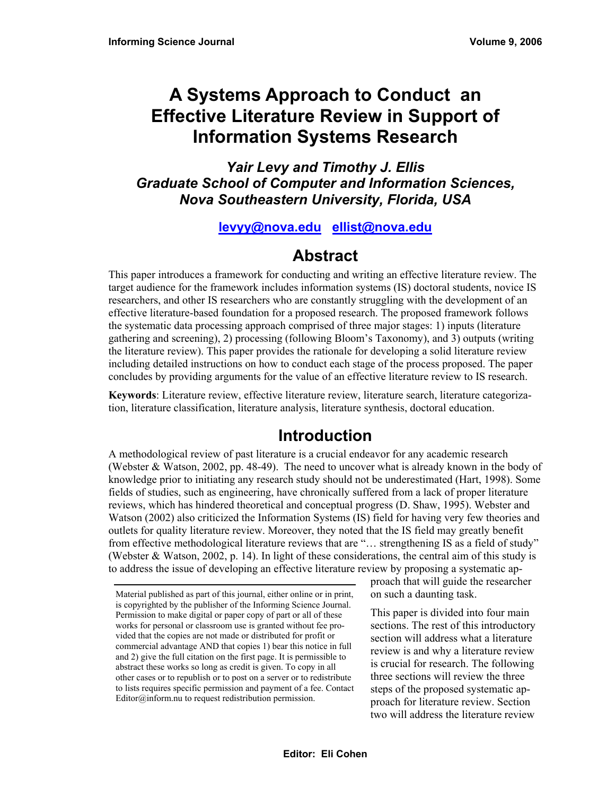# **A Systems Approach to Conduct an Effective Literature Review in Support of Information Systems Research**

*Yair Levy and Timothy J. Ellis Graduate School of Computer and Information Sciences, Nova Southeastern University, Florida, USA* 

## **[levyy@nova.edu](mailto:levyy@nova.edu) [ellist@nova.edu](mailto:ellist@nova.edu)**

## **Abstract**

This paper introduces a framework for conducting and writing an effective literature review. The target audience for the framework includes information systems (IS) doctoral students, novice IS researchers, and other IS researchers who are constantly struggling with the development of an effective literature-based foundation for a proposed research. The proposed framework follows the systematic data processing approach comprised of three major stages: 1) inputs (literature gathering and screening), 2) processing (following Bloom's Taxonomy), and 3) outputs (writing the literature review). This paper provides the rationale for developing a solid literature review including detailed instructions on how to conduct each stage of the process proposed. The paper concludes by providing arguments for the value of an effective literature review to IS research.

**Keywords**: Literature review, effective literature review, literature search, literature categorization, literature classification, literature analysis, literature synthesis, doctoral education.

# **Introduction**

A methodological review of past literature is a crucial endeavor for any academic research (Webster & Watson, 2002, pp. 48-49). The need to uncover what is already known in the body of knowledge prior to initiating any research study should not be underestimated (Hart, 1998). Some fields of studies, such as engineering, have chronically suffered from a lack of proper literature reviews, which has hindered theoretical and conceptual progress (D. Shaw, 1995). Webster and Watson (2002) also criticized the Information Systems (IS) field for having very few theories and outlets for quality literature review. Moreover, they noted that the IS field may greatly benefit from effective methodological literature reviews that are "… strengthening IS as a field of study" (Webster & Watson, 2002, p. 14). In light of these considerations, the central aim of this study is to address the issue of developing an effective literature review by proposing a systematic ap-

proach that will guide the researcher on such a daunting task.

This paper is divided into four main sections. The rest of this introductory section will address what a literature review is and why a literature review is crucial for research. The following three sections will review the three steps of the proposed systematic approach for literature review. Section two will address the literature review

Material published as part of this journal, either online or in print, is copyrighted by the publisher of the Informing Science Journal. Permission to make digital or paper copy of part or all of these works for personal or classroom use is granted without fee provided that the copies are not made or distributed for profit or commercial advantage AND that copies 1) bear this notice in full and 2) give the full citation on the first page. It is permissible to abstract these works so long as credit is given. To copy in all other cases or to republish or to post on a server or to redistribute to lists requires specific permission and payment of a fee. Contact Editor@inform.nu to request redistribution permission.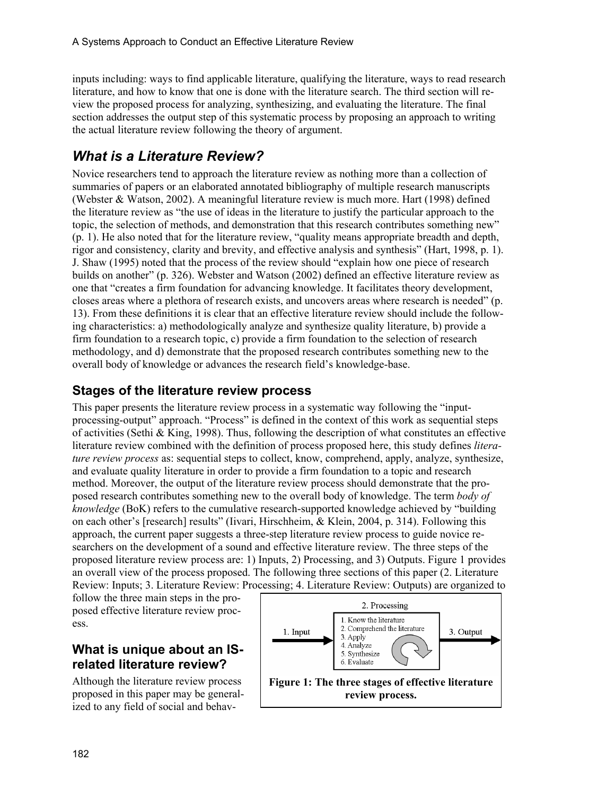inputs including: ways to find applicable literature, qualifying the literature, ways to read research literature, and how to know that one is done with the literature search. The third section will review the proposed process for analyzing, synthesizing, and evaluating the literature. The final section addresses the output step of this systematic process by proposing an approach to writing the actual literature review following the theory of argument.

## *What is a Literature Review?*

Novice researchers tend to approach the literature review as nothing more than a collection of summaries of papers or an elaborated annotated bibliography of multiple research manuscripts (Webster & Watson, 2002). A meaningful literature review is much more. Hart (1998) defined the literature review as "the use of ideas in the literature to justify the particular approach to the topic, the selection of methods, and demonstration that this research contributes something new" (p. 1). He also noted that for the literature review, "quality means appropriate breadth and depth, rigor and consistency, clarity and brevity, and effective analysis and synthesis" (Hart, 1998, p. 1). J. Shaw (1995) noted that the process of the review should "explain how one piece of research builds on another" (p. 326). Webster and Watson (2002) defined an effective literature review as one that "creates a firm foundation for advancing knowledge. It facilitates theory development, closes areas where a plethora of research exists, and uncovers areas where research is needed" (p. 13). From these definitions it is clear that an effective literature review should include the following characteristics: a) methodologically analyze and synthesize quality literature, b) provide a firm foundation to a research topic, c) provide a firm foundation to the selection of research methodology, and d) demonstrate that the proposed research contributes something new to the overall body of knowledge or advances the research field's knowledge-base.

### **Stages of the literature review process**

This paper presents the literature review process in a systematic way following the "inputprocessing-output" approach. "Process" is defined in the context of this work as sequential steps of activities (Sethi & King, 1998). Thus, following the description of what constitutes an effective literature review combined with the definition of process proposed here, this study defines *literature review process* as: sequential steps to collect, know, comprehend, apply, analyze, synthesize, and evaluate quality literature in order to provide a firm foundation to a topic and research method. Moreover, the output of the literature review process should demonstrate that the proposed research contributes something new to the overall body of knowledge. The term *body of knowledge* (BoK) refers to the cumulative research-supported knowledge achieved by "building on each other's [research] results" (Iivari, Hirschheim, & Klein, 2004, p. 314). Following this approach, the current paper suggests a three-step literature review process to guide novice researchers on the development of a sound and effective literature review. The three steps of the proposed literature review process are: 1) Inputs, 2) Processing, and 3) Outputs. Figure 1 provides an overall view of the process proposed. The following three sections of this paper (2. Literature Review: Inputs; 3. Literature Review: Processing; 4. Literature Review: Outputs) are organized to

follow the three main steps in the proposed effective literature review process.

## **What is unique about an ISrelated literature review?**

Although the literature review process proposed in this paper may be generalized to any field of social and behav-

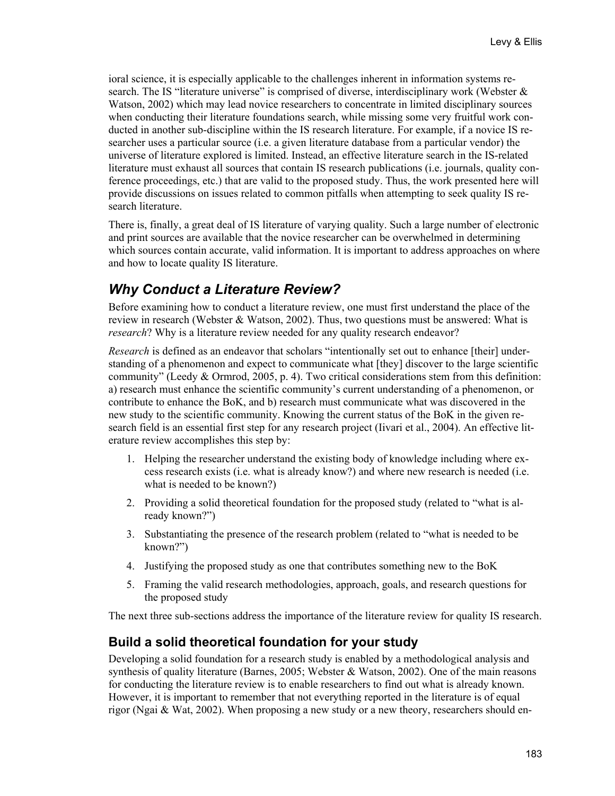ioral science, it is especially applicable to the challenges inherent in information systems research. The IS "literature universe" is comprised of diverse, interdisciplinary work (Webster  $\&$ Watson, 2002) which may lead novice researchers to concentrate in limited disciplinary sources when conducting their literature foundations search, while missing some very fruitful work conducted in another sub-discipline within the IS research literature. For example, if a novice IS researcher uses a particular source (i.e. a given literature database from a particular vendor) the universe of literature explored is limited. Instead, an effective literature search in the IS-related literature must exhaust all sources that contain IS research publications (i.e. journals, quality conference proceedings, etc.) that are valid to the proposed study. Thus, the work presented here will provide discussions on issues related to common pitfalls when attempting to seek quality IS research literature.

There is, finally, a great deal of IS literature of varying quality. Such a large number of electronic and print sources are available that the novice researcher can be overwhelmed in determining which sources contain accurate, valid information. It is important to address approaches on where and how to locate quality IS literature.

## *Why Conduct a Literature Review?*

Before examining how to conduct a literature review, one must first understand the place of the review in research (Webster  $\&$  Watson, 2002). Thus, two questions must be answered: What is *research*? Why is a literature review needed for any quality research endeavor?

*Research* is defined as an endeavor that scholars "intentionally set out to enhance [their] understanding of a phenomenon and expect to communicate what [they] discover to the large scientific community" (Leedy & Ormrod, 2005, p. 4). Two critical considerations stem from this definition: a) research must enhance the scientific community's current understanding of a phenomenon, or contribute to enhance the BoK, and b) research must communicate what was discovered in the new study to the scientific community. Knowing the current status of the BoK in the given research field is an essential first step for any research project (Iivari et al., 2004). An effective literature review accomplishes this step by:

- 1. Helping the researcher understand the existing body of knowledge including where excess research exists (i.e. what is already know?) and where new research is needed (i.e. what is needed to be known?)
- 2. Providing a solid theoretical foundation for the proposed study (related to "what is already known?")
- 3. Substantiating the presence of the research problem (related to "what is needed to be known?")
- 4. Justifying the proposed study as one that contributes something new to the BoK
- 5. Framing the valid research methodologies, approach, goals, and research questions for the proposed study

The next three sub-sections address the importance of the literature review for quality IS research.

### **Build a solid theoretical foundation for your study**

Developing a solid foundation for a research study is enabled by a methodological analysis and synthesis of quality literature (Barnes, 2005; Webster & Watson, 2002). One of the main reasons for conducting the literature review is to enable researchers to find out what is already known. However, it is important to remember that not everything reported in the literature is of equal rigor (Ngai & Wat, 2002). When proposing a new study or a new theory, researchers should en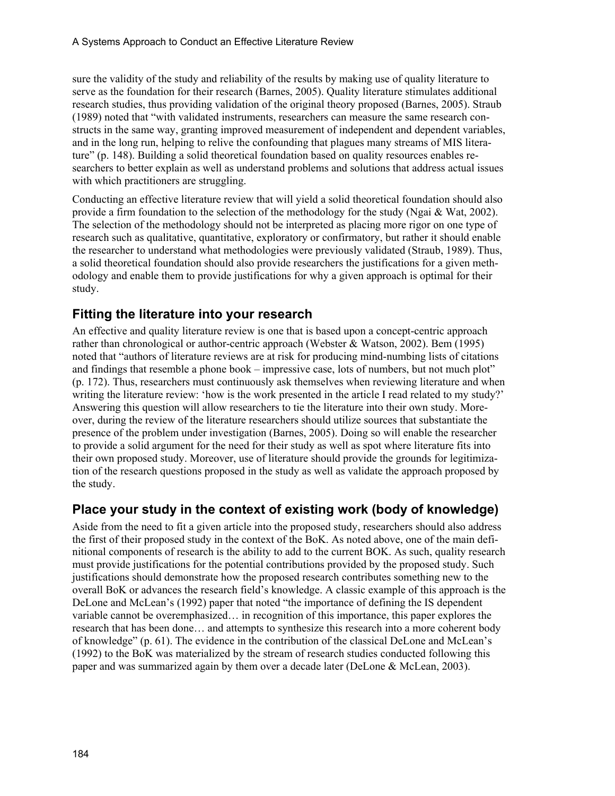sure the validity of the study and reliability of the results by making use of quality literature to serve as the foundation for their research (Barnes, 2005). Quality literature stimulates additional research studies, thus providing validation of the original theory proposed (Barnes, 2005). Straub (1989) noted that "with validated instruments, researchers can measure the same research constructs in the same way, granting improved measurement of independent and dependent variables, and in the long run, helping to relive the confounding that plagues many streams of MIS literature" (p. 148). Building a solid theoretical foundation based on quality resources enables researchers to better explain as well as understand problems and solutions that address actual issues with which practitioners are struggling.

Conducting an effective literature review that will yield a solid theoretical foundation should also provide a firm foundation to the selection of the methodology for the study (Ngai & Wat, 2002). The selection of the methodology should not be interpreted as placing more rigor on one type of research such as qualitative, quantitative, exploratory or confirmatory, but rather it should enable the researcher to understand what methodologies were previously validated (Straub, 1989). Thus, a solid theoretical foundation should also provide researchers the justifications for a given methodology and enable them to provide justifications for why a given approach is optimal for their study.

### **Fitting the literature into your research**

An effective and quality literature review is one that is based upon a concept-centric approach rather than chronological or author-centric approach (Webster & Watson, 2002). Bem (1995) noted that "authors of literature reviews are at risk for producing mind-numbing lists of citations and findings that resemble a phone book – impressive case, lots of numbers, but not much plot" (p. 172). Thus, researchers must continuously ask themselves when reviewing literature and when writing the literature review: 'how is the work presented in the article I read related to my study?' Answering this question will allow researchers to tie the literature into their own study. Moreover, during the review of the literature researchers should utilize sources that substantiate the presence of the problem under investigation (Barnes, 2005). Doing so will enable the researcher to provide a solid argument for the need for their study as well as spot where literature fits into their own proposed study. Moreover, use of literature should provide the grounds for legitimization of the research questions proposed in the study as well as validate the approach proposed by the study.

## **Place your study in the context of existing work (body of knowledge)**

Aside from the need to fit a given article into the proposed study, researchers should also address the first of their proposed study in the context of the BoK. As noted above, one of the main definitional components of research is the ability to add to the current BOK. As such, quality research must provide justifications for the potential contributions provided by the proposed study. Such justifications should demonstrate how the proposed research contributes something new to the overall BoK or advances the research field's knowledge. A classic example of this approach is the DeLone and McLean's (1992) paper that noted "the importance of defining the IS dependent variable cannot be overemphasized… in recognition of this importance, this paper explores the research that has been done… and attempts to synthesize this research into a more coherent body of knowledge" (p. 61). The evidence in the contribution of the classical DeLone and McLean's (1992) to the BoK was materialized by the stream of research studies conducted following this paper and was summarized again by them over a decade later (DeLone & McLean, 2003).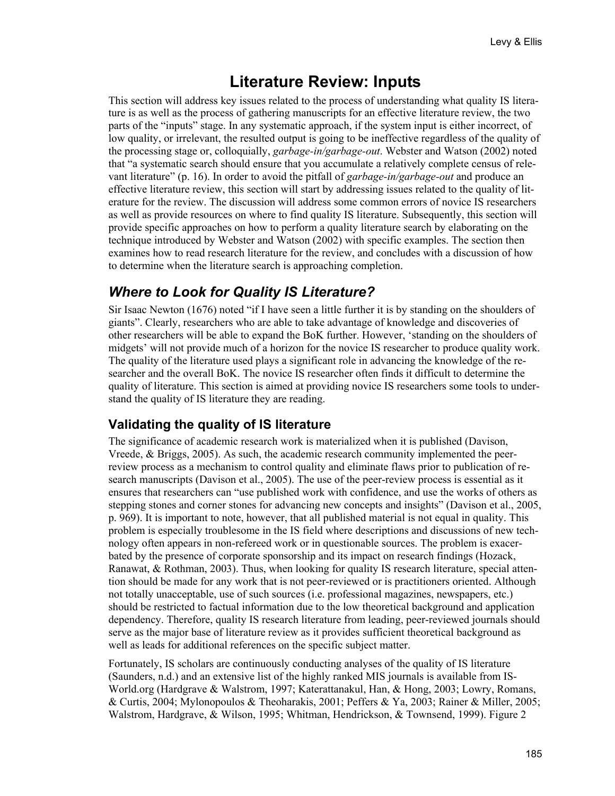## **Literature Review: Inputs**

This section will address key issues related to the process of understanding what quality IS literature is as well as the process of gathering manuscripts for an effective literature review, the two parts of the "inputs" stage. In any systematic approach, if the system input is either incorrect, of low quality, or irrelevant, the resulted output is going to be ineffective regardless of the quality of the processing stage or, colloquially, *garbage-in/garbage-out*. Webster and Watson (2002) noted that "a systematic search should ensure that you accumulate a relatively complete census of relevant literature" (p. 16). In order to avoid the pitfall of *garbage-in/garbage-out* and produce an effective literature review, this section will start by addressing issues related to the quality of literature for the review. The discussion will address some common errors of novice IS researchers as well as provide resources on where to find quality IS literature. Subsequently, this section will provide specific approaches on how to perform a quality literature search by elaborating on the technique introduced by Webster and Watson (2002) with specific examples. The section then examines how to read research literature for the review, and concludes with a discussion of how to determine when the literature search is approaching completion.

## *Where to Look for Quality IS Literature?*

Sir Isaac Newton (1676) noted "if I have seen a little further it is by standing on the shoulders of giants". Clearly, researchers who are able to take advantage of knowledge and discoveries of other researchers will be able to expand the BoK further. However, 'standing on the shoulders of midgets' will not provide much of a horizon for the novice IS researcher to produce quality work. The quality of the literature used plays a significant role in advancing the knowledge of the researcher and the overall BoK. The novice IS researcher often finds it difficult to determine the quality of literature. This section is aimed at providing novice IS researchers some tools to understand the quality of IS literature they are reading.

### **Validating the quality of IS literature**

The significance of academic research work is materialized when it is published (Davison, Vreede, & Briggs, 2005). As such, the academic research community implemented the peerreview process as a mechanism to control quality and eliminate flaws prior to publication of research manuscripts (Davison et al., 2005). The use of the peer-review process is essential as it ensures that researchers can "use published work with confidence, and use the works of others as stepping stones and corner stones for advancing new concepts and insights" (Davison et al., 2005, p. 969). It is important to note, however, that all published material is not equal in quality. This problem is especially troublesome in the IS field where descriptions and discussions of new technology often appears in non-refereed work or in questionable sources. The problem is exacerbated by the presence of corporate sponsorship and its impact on research findings (Hozack, Ranawat, & Rothman, 2003). Thus, when looking for quality IS research literature, special attention should be made for any work that is not peer-reviewed or is practitioners oriented. Although not totally unacceptable, use of such sources (i.e. professional magazines, newspapers, etc.) should be restricted to factual information due to the low theoretical background and application dependency. Therefore, quality IS research literature from leading, peer-reviewed journals should serve as the major base of literature review as it provides sufficient theoretical background as well as leads for additional references on the specific subject matter.

Fortunately, IS scholars are continuously conducting analyses of the quality of IS literature (Saunders, n.d.) and an extensive list of the highly ranked MIS journals is available from IS-World.org (Hardgrave & Walstrom, 1997; Katerattanakul, Han, & Hong, 2003; Lowry, Romans, & Curtis, 2004; Mylonopoulos & Theoharakis, 2001; Peffers & Ya, 2003; Rainer & Miller, 2005; Walstrom, Hardgrave, & Wilson, 1995; Whitman, Hendrickson, & Townsend, 1999). Figure 2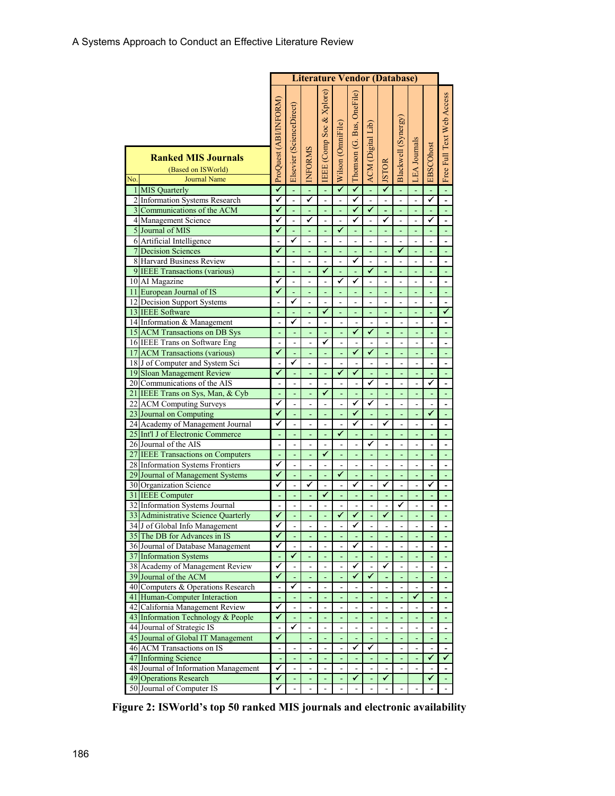|                |                                                                           | <b>Literature Vendor (Database)</b> |                              |                          |                          |                   |                           |                              |                         |                      |                          |                               |                              |
|----------------|---------------------------------------------------------------------------|-------------------------------------|------------------------------|--------------------------|--------------------------|-------------------|---------------------------|------------------------------|-------------------------|----------------------|--------------------------|-------------------------------|------------------------------|
|                |                                                                           | ProQuest (ABI/INFORM)               | Elsevier (ScienceDirect)     |                          | EEE (Comp Soc & Xplore)  | Wilson (OmniFile) | Thomson (G. Bus, OneFile) | ACM (Digital Lib)            |                         | Blackwell (Synergy)  | <b>LEA</b> Journals      | EBSCOhost                     | Free Full Text Web Access    |
|                | <b>Ranked MIS Journals</b>                                                |                                     |                              | <b>INFORMS</b>           |                          |                   |                           |                              |                         |                      |                          |                               |                              |
|                | (Based on ISWorld)                                                        |                                     |                              |                          |                          |                   |                           |                              | <b>ISTOR</b>            |                      |                          |                               |                              |
| No.            | <b>Journal Name</b>                                                       |                                     |                              |                          |                          |                   |                           |                              |                         |                      |                          |                               |                              |
| $\mathbf{1}$   | <b>MIS</b> Quarterly                                                      | ✓                                   | L,                           |                          | L,                       | ✓                 | ✓                         | ä,                           | $\overline{\checkmark}$ | Ξ                    | ÷,                       |                               | L,                           |
|                | 2 Information Systems Research                                            | ✓                                   | $\overline{a}$               | ✓                        | $\overline{a}$           |                   | ✓                         | $\overline{a}$               |                         | ÷,                   | ÷,                       | ✓                             | $\overline{a}$               |
|                | 3 Communications of the ACM                                               | √                                   | ä,                           | ÷                        | Ξ                        | ÷,                | $\checkmark$              | ✓                            | ÷                       | ٠                    | $\blacksquare$           | ÷                             | ä,                           |
|                | 4 Management Science                                                      | ✓                                   | $\overline{a}$               | ✓                        | $\overline{a}$           | $\overline{a}$    | ✓                         | $\overline{a}$               | ✓                       | $\overline{a}$       | $\overline{a}$           | ✓                             | $\overline{a}$               |
|                | 5 Journal of MIS                                                          | ✓                                   | ä,                           | ÷,                       | $\Box$                   | ✓                 | ä,                        | $\blacksquare$               | ä,                      | ÷,                   | ÷,                       | ä,                            | L,                           |
|                | 6 Artificial Intelligence                                                 | ä,                                  | ✔                            | L.                       | $\overline{a}$           | $\overline{a}$    | L.                        | $\overline{a}$               | ÷,                      | ÷.                   | $\overline{a}$           | $\overline{a}$                | $\overline{\phantom{0}}$     |
| $\overline{7}$ | <b>Decision Sciences</b>                                                  | ✓                                   | L,                           | L,                       | L,                       | ÷,                | ä,                        | ä,                           | L,                      | ✓                    | ÷,                       | ä,                            | ä,                           |
|                | 8 Harvard Business Review                                                 | L,                                  | $\overline{a}$               |                          | $\frac{1}{2}$            | ÷,                | ✓                         | ÷,                           | $\overline{a}$          | ÷,                   | ÷,                       | $\overline{a}$                | $\qquad \qquad \blacksquare$ |
|                | 9 IEEE Transactions (various)                                             | L,                                  | ä,                           |                          | ✓                        | L,                |                           | ✓                            |                         |                      |                          | ä,                            | ä,                           |
|                | 10 AI Magazine                                                            | ✓                                   | $\overline{a}$               | $\overline{a}$           | $\overline{a}$           | ✓                 | ✓                         | $\overline{a}$               | $\overline{a}$          | ÷,                   | ÷,                       | $\overline{a}$                | $\overline{a}$               |
| 11             | European Journal of IS                                                    | ✓                                   | ÷                            | ÷,                       | Ξ                        | ÷,                | $\blacksquare$            | ä,                           | ÷,                      | $\blacksquare$       | $\blacksquare$           | ÷,                            | ÷,                           |
|                | 12 Decision Support Systems                                               | $\overline{a}$                      | ✓                            | $\overline{a}$           | $\overline{a}$           | $\overline{a}$    | $\overline{a}$            | ÷,                           | $\overline{a}$          | L.                   | $\overline{a}$           | $\overline{a}$                | $\overline{a}$               |
|                | 13 IEEE Software                                                          |                                     | ä,                           |                          | ✓                        | ä,                |                           | Ξ                            | ÷,                      |                      | ÷,                       | ä,                            | ✓                            |
|                | 14 Information & Management                                               | $\overline{a}$                      | ✓                            | ä,                       | L.                       | $\overline{a}$    | $\overline{a}$            | $\overline{a}$               | $\overline{a}$          | $\overline{a}$       | $\overline{a}$           | $\overline{a}$                | $\overline{a}$               |
|                | 15 ACM Transactions on DB Sys                                             | ÷,                                  | $\overline{\phantom{a}}$     |                          | $\blacksquare$           |                   | ✓                         | ✓                            |                         | ÷,                   | ٠                        | ä,                            | ÷,                           |
|                | 16 IEEE Trans on Software Eng                                             | L,                                  |                              |                          | ✓                        |                   | $\overline{a}$<br>⊽       |                              |                         | $\overline{a}$       |                          |                               | $\overline{\phantom{0}}$     |
|                | 17 ACM Transactions (various)                                             | ✓                                   | ✔                            |                          | L,                       |                   |                           | ✓                            |                         | L,                   |                          | L,                            | L,                           |
|                | 18 J of Computer and System Sci                                           | ÷.<br>✔                             |                              |                          | ÷,                       | L.<br>✓           | ✓                         |                              | $\overline{a}$          | L.                   |                          | $\blacksquare$                | $\qquad \qquad \blacksquare$ |
|                | 19 Sloan Management Review                                                |                                     | ÷,                           |                          | $\blacksquare$           |                   |                           | ٠<br>✓                       | ٠                       | Ξ                    | ٠                        | ٠<br>✓                        | ÷,                           |
|                | 20 Communications of the AIS                                              |                                     | $\overline{a}$               |                          | $\overline{a}$<br>✓      |                   | $\overline{a}$            |                              |                         | ÷,                   |                          |                               | $\overline{a}$               |
|                | 21 IEEE Trans on Sys, Man, & Cyb                                          | $\blacksquare$<br>✔                 | ä,                           | ä,                       |                          |                   | ä,<br>✓                   | ÷,<br>✓                      | ä,                      | ä,                   | ÷                        | ÷,                            | L,                           |
|                | 22 ACM Computing Surveys<br>23 Journal on Computing                       | ✓                                   | $\overline{a}$<br>ä,         | ÷.<br>ä,                 | $\overline{a}$<br>÷,     | ä,<br>÷,          | ✓                         |                              | $\overline{a}$          | ÷,                   | $\overline{a}$<br>÷,     | $\overline{\phantom{a}}$<br>✓ | $\frac{1}{2}$                |
|                | 24 Academy of Management Journal                                          | ✓                                   | $\overline{a}$               | $\overline{\phantom{a}}$ | $\frac{1}{2}$            | ÷,                | ✓                         | $\overline{a}$               | Ξ<br>✓                  | ÷,<br>$\overline{a}$ | $\overline{a}$           | $\overline{a}$                | ä,                           |
|                | 25 Int'l J of Electronic Commerce                                         |                                     |                              |                          | L                        | ✓                 |                           |                              |                         |                      |                          |                               | $\blacksquare$               |
|                | 26 Journal of the AIS                                                     |                                     | $\frac{1}{2}$                |                          | $\overline{a}$           |                   | $\overline{a}$            | ✓                            |                         | $\overline{a}$       |                          | $\overline{a}$                | $\overline{a}$               |
| 27             |                                                                           | $\blacksquare$                      | ä,                           | $\blacksquare$           | ✓                        | ä,                | Ξ                         | Ξ                            | $\blacksquare$          | Ξ                    | $\blacksquare$           | Ξ                             | Ξ                            |
|                | <b>IEEE Transactions on Computers</b><br>28 Information Systems Frontiers | ✓                                   | $\overline{a}$               |                          | $\overline{a}$           |                   | $\overline{a}$            |                              |                         |                      |                          | ÷,                            | $\blacksquare$               |
|                | 29 Journal of Management Systems                                          | ✓                                   | ÷,                           |                          | L,                       | ✓                 | L,                        |                              |                         | L,                   |                          |                               |                              |
|                | 30 Organization Science                                                   | ✓                                   | $\overline{a}$               | ✓                        | $\overline{a}$           | L.                | ✓                         | $\overline{a}$               | ✓                       | $\overline{a}$       | $\overline{a}$           | ✓                             | $\overline{a}$               |
|                | 31 IEEE Computer                                                          | L,                                  | ÷                            |                          | ✔                        | L,                | ä,                        | ÷,                           | ÷,                      | ÷,                   |                          | Ξ                             | ÷                            |
|                | 32 Information Systems Journal                                            |                                     |                              |                          | $\overline{a}$           |                   | $\overline{a}$            |                              |                         | ✔                    |                          |                               | $\qquad \qquad \blacksquare$ |
|                | 33 Administrative Science Quarterly                                       | ✓                                   |                              |                          | L,                       | ✓                 | ✓                         |                              | ✓                       | L                    |                          |                               | L                            |
|                | 34 J of Global Info Management                                            | ✔                                   | $\qquad \qquad \blacksquare$ |                          | $\overline{a}$           |                   | ✔                         |                              |                         |                      |                          |                               |                              |
|                | 35 The DB for Advances in IS                                              | ✓                                   |                              |                          | ÷,                       |                   | ٠                         |                              |                         |                      |                          |                               |                              |
|                | 36 Journal of Database Management                                         | ✔                                   | $\overline{a}$               |                          | $\overline{a}$           | $\overline{a}$    | ✓                         | $\overline{\phantom{a}}$     | ä,                      | $\overline{a}$       |                          | ÷                             | $\qquad \qquad \blacksquare$ |
| 37             | <b>Information Systems</b>                                                | L,                                  | ✓                            |                          | Ξ                        | ÷                 | ÷,                        | $\blacksquare$               | ÷                       | ÷,                   |                          | ÷,                            |                              |
|                | 38 Academy of Management Review                                           | ✓                                   | $\overline{\phantom{a}}$     | ÷.                       | $\blacksquare$           | ä,                | ✓                         | ÷,                           | ✓                       | ÷,                   | $\overline{a}$           | ÷,                            | $\overline{\phantom{a}}$     |
|                | 39 Journal of the ACM                                                     | ✓                                   | ÷,                           |                          | $\blacksquare$           | ä,                | ✓                         | ✓                            |                         | ÷,                   |                          | ÷,                            | Ξ                            |
| 40             | Computers & Operations Research                                           | $\blacksquare$                      | ✔                            | $\overline{\phantom{0}}$ | $\frac{1}{2}$            | $\blacksquare$    | $\overline{\phantom{0}}$  | $\frac{1}{2}$                | $\blacksquare$          | $\blacksquare$       | $\overline{\phantom{a}}$ | ۰                             | $\frac{1}{2}$                |
|                | 41 Human-Computer Interaction                                             |                                     |                              |                          |                          |                   |                           |                              |                         |                      | ✓                        |                               |                              |
|                | 42 California Management Review                                           | ✓                                   | $\frac{1}{2}$                | -                        | $\overline{a}$           |                   | ÷,                        |                              |                         | ÷                    |                          | $\overline{\phantom{a}}$      | $\qquad \qquad \blacksquare$ |
|                | 43 Information Technology & People                                        | ✔                                   | $\blacksquare$               | $\blacksquare$           | Ξ                        | Ξ                 | Ξ                         | $\blacksquare$               | $\blacksquare$          | ÷,                   | Ξ                        | $\blacksquare$                | Ξ                            |
|                | 44 Journal of Strategic IS                                                | $\overline{a}$                      | ✔                            |                          | $\overline{\phantom{a}}$ | ۰                 | ÷                         | ٠                            | ۰                       | $\overline{a}$       |                          | $\overline{a}$                | $\qquad \qquad \blacksquare$ |
|                | 45 Journal of Global IT Management                                        | ✓                                   |                              |                          | $\blacksquare$           |                   |                           |                              |                         | ä,                   |                          |                               |                              |
|                | 46 ACM Transactions on IS                                                 | $\overline{a}$                      | $\overline{a}$               | ä,                       | $\overline{a}$           | $\overline{a}$    | ✓                         | ✓                            |                         | $\overline{a}$       | $\overline{a}$           | $\overline{\phantom{a}}$      | $\overline{\phantom{0}}$     |
|                | 47 Informing Science                                                      | $\Box$                              | $\overline{\phantom{a}}$     | ä,                       | $\blacksquare$           | ä,                | ÷                         |                              | ٠                       | ٠                    |                          | ✓                             | ✔                            |
|                | 48 Journal of Information Management                                      | ✔                                   | $\overline{\phantom{a}}$     | ۰                        | ۰                        | ٠                 | $\overline{\phantom{0}}$  | $\qquad \qquad \blacksquare$ | ٠                       | $\overline{a}$       |                          | $\qquad \qquad \blacksquare$  | $\overline{\phantom{a}}$     |
|                | <b>49 Operations Research</b>                                             | ✓                                   | L,                           |                          | ä,                       |                   | $\blacktriangledown$      | L,                           | $\checkmark$            |                      |                          | ✓                             | L,                           |
|                | 50 Journal of Computer IS                                                 | ✓                                   | ÷,                           | $\overline{a}$           | $\overline{a}$           | $\overline{a}$    | ÷,                        |                              | $\overline{a}$          | ÷,                   |                          |                               |                              |

**Figure 2: ISWorld's top 50 ranked MIS journals and electronic availability**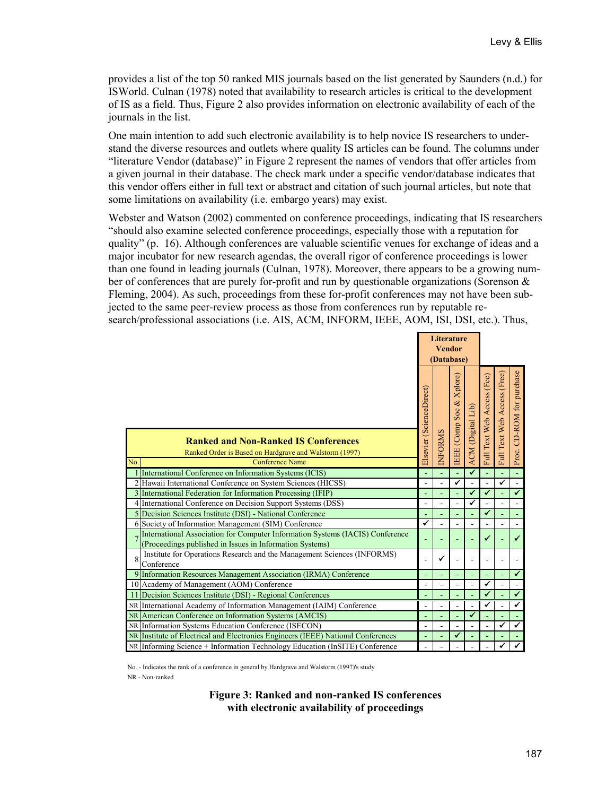provides a list of the top 50 ranked MIS journals based on the list generated by Saunders (n.d.) for ISWorld. Culnan (1978) noted that availability to research articles is critical to the development of IS as a field. Thus, Figure 2 also provides information on electronic availability of each of the journals in the list.

One main intention to add such electronic availability is to help novice IS researchers to understand the diverse resources and outlets where quality IS articles can be found. The columns under "literature Vendor (database)" in Figure 2 represent the names of vendors that offer articles from a given journal in their database. The check mark under a specific vendor/database indicates that this vendor offers either in full text or abstract and citation of such journal articles, but note that some limitations on availability (i.e. embargo years) may exist.

Webster and Watson (2002) commented on conference proceedings, indicating that IS researchers "should also examine selected conference proceedings, especially those with a reputation for quality" (p. 16). Although conferences are valuable scientific venues for exchange of ideas and a major incubator for new research agendas, the overall rigor of conference proceedings is lower than one found in leading journals (Culnan, 1978). Moreover, there appears to be a growing number of conferences that are purely for-profit and run by questionable organizations (Sorenson & Fleming, 2004). As such, proceedings from these for-profit conferences may not have been subjected to the same peer-review process as those from conferences run by reputable research/professional associations (i.e. AIS, ACM, INFORM, IEEE, AOM, ISI, DSI, etc.). Thus,

|     |                                                                                                                                           |                          | <b>Literature</b><br>(Database) | <b>Vendor</b>            |                   |                            |                             |                           |
|-----|-------------------------------------------------------------------------------------------------------------------------------------------|--------------------------|---------------------------------|--------------------------|-------------------|----------------------------|-----------------------------|---------------------------|
| No. | <b>Ranked and Non-Ranked IS Conferences</b><br>Ranked Order is Based on Hardgrave and Walstorm (1997)<br><b>Conference Name</b>           | Elsevier (ScienceDirect) | <b>NFORMS</b>                   | IEEE (Comp Soc & Xplore) | ACM (Digital Lib) | Full Text Web Access (Fee) | Full Text Web Access (Free) | Proc. CD-ROM for purchase |
|     | International Conference on Information Systems (ICIS)                                                                                    | $\blacksquare$           |                                 | ä,                       | ✓                 |                            |                             | $\Box$                    |
|     | 2 Hawaii International Conference on System Sciences (HICSS)                                                                              | $\overline{a}$           |                                 | ✓                        |                   |                            | ✔                           | ÷,                        |
|     | 3 International Federation for Information Processing (IFIP)                                                                              | ÷,                       |                                 |                          | ✓                 | $\checkmark$               |                             | $\checkmark$              |
|     | 4 International Conference on Decision Support Systems (DSS)                                                                              | ÷,                       |                                 | $\overline{\phantom{a}}$ |                   |                            |                             | $\overline{a}$            |
|     | 5 Decision Sciences Institute (DSI) - National Conference                                                                                 | L,                       |                                 |                          |                   | $\checkmark$               |                             |                           |
|     | 6 Society of Information Management (SIM) Conference                                                                                      | ✓                        |                                 |                          |                   |                            |                             | $\blacksquare$            |
|     | International Association for Computer Information Systems (IACIS) Conference<br>(Proceedings published in Issues in Information Systems) |                          |                                 |                          |                   | ✔                          |                             | $\checkmark$              |
| 8   | Institute for Operations Research and the Management Sciences (INFORMS)<br>Conference                                                     | $\overline{a}$           | ✔                               |                          |                   |                            |                             |                           |
|     | 9 Information Resources Management Association (IRMA) Conference                                                                          |                          |                                 |                          |                   |                            |                             | $\checkmark$              |
|     | 10 Academy of Management (AOM) Conference                                                                                                 | ÷,                       |                                 | L,                       |                   | ✔                          |                             | $\blacksquare$            |
|     | 11 Decision Sciences Institute (DSI) - Regional Conferences                                                                               | ä,                       |                                 |                          |                   | $\checkmark$               |                             | $\checkmark$              |
|     | NR International Academy of Information Management (IAIM) Conference                                                                      | ÷,                       |                                 | $\blacksquare$           |                   | ✓                          |                             | ✓                         |
|     | NR American Conference on Information Systems (AMCIS)                                                                                     | ä,                       |                                 | L,                       | ✔                 |                            |                             | Ξ                         |
|     | NR Information Systems Education Conference (ISECON)                                                                                      | $\overline{a}$           |                                 | $\overline{\phantom{a}}$ |                   |                            | ✓                           | $\overline{\checkmark}$   |
|     | NR Institute of Electrical and Electronics Engineers (IEEE) National Conferences                                                          | ä,                       |                                 | $\checkmark$             |                   |                            |                             | $\omega$                  |
|     | NR Informing Science + Information Technology Education (InSITE) Conference                                                               |                          |                                 |                          |                   |                            | ✓                           | $\blacktriangledown$      |

No. - Indicates the rank of a conference in general by Hardgrave and Walstorm (1997)'s study NR - Non-ranked

> **Figure 3: Ranked and non-ranked IS conferences with electronic availability of proceedings**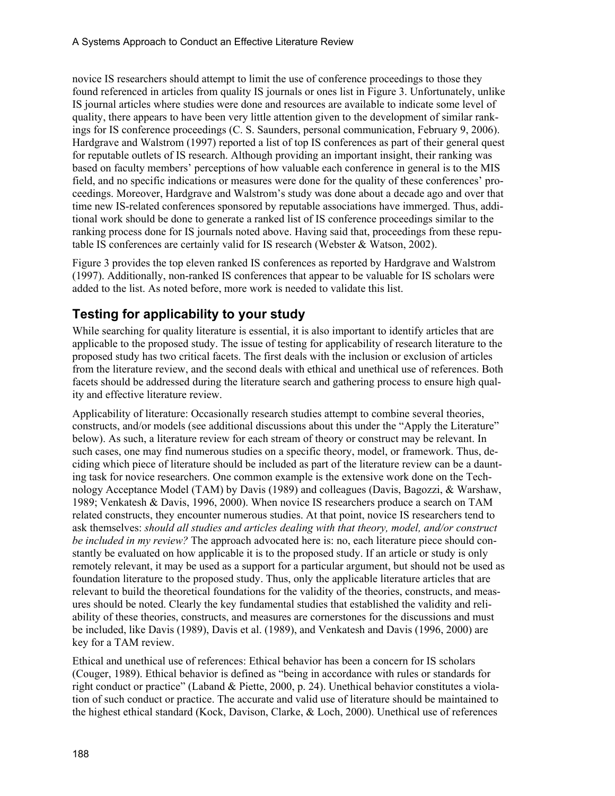novice IS researchers should attempt to limit the use of conference proceedings to those they found referenced in articles from quality IS journals or ones list in Figure 3. Unfortunately, unlike IS journal articles where studies were done and resources are available to indicate some level of quality, there appears to have been very little attention given to the development of similar rankings for IS conference proceedings (C. S. Saunders, personal communication, February 9, 2006). Hardgrave and Walstrom (1997) reported a list of top IS conferences as part of their general quest for reputable outlets of IS research. Although providing an important insight, their ranking was based on faculty members' perceptions of how valuable each conference in general is to the MIS field, and no specific indications or measures were done for the quality of these conferences' proceedings. Moreover, Hardgrave and Walstrom's study was done about a decade ago and over that time new IS-related conferences sponsored by reputable associations have immerged. Thus, additional work should be done to generate a ranked list of IS conference proceedings similar to the ranking process done for IS journals noted above. Having said that, proceedings from these reputable IS conferences are certainly valid for IS research (Webster & Watson, 2002).

Figure 3 provides the top eleven ranked IS conferences as reported by Hardgrave and Walstrom (1997). Additionally, non-ranked IS conferences that appear to be valuable for IS scholars were added to the list. As noted before, more work is needed to validate this list.

## **Testing for applicability to your study**

While searching for quality literature is essential, it is also important to identify articles that are applicable to the proposed study. The issue of testing for applicability of research literature to the proposed study has two critical facets. The first deals with the inclusion or exclusion of articles from the literature review, and the second deals with ethical and unethical use of references. Both facets should be addressed during the literature search and gathering process to ensure high quality and effective literature review.

Applicability of literature: Occasionally research studies attempt to combine several theories, constructs, and/or models (see additional discussions about this under the "Apply the Literature" below). As such, a literature review for each stream of theory or construct may be relevant. In such cases, one may find numerous studies on a specific theory, model, or framework. Thus, deciding which piece of literature should be included as part of the literature review can be a daunting task for novice researchers. One common example is the extensive work done on the Technology Acceptance Model (TAM) by Davis (1989) and colleagues (Davis, Bagozzi, & Warshaw, 1989; Venkatesh & Davis, 1996, 2000). When novice IS researchers produce a search on TAM related constructs, they encounter numerous studies. At that point, novice IS researchers tend to ask themselves: *should all studies and articles dealing with that theory, model, and/or construct be included in my review?* The approach advocated here is: no, each literature piece should constantly be evaluated on how applicable it is to the proposed study. If an article or study is only remotely relevant, it may be used as a support for a particular argument, but should not be used as foundation literature to the proposed study. Thus, only the applicable literature articles that are relevant to build the theoretical foundations for the validity of the theories, constructs, and measures should be noted. Clearly the key fundamental studies that established the validity and reliability of these theories, constructs, and measures are cornerstones for the discussions and must be included, like Davis (1989), Davis et al. (1989), and Venkatesh and Davis (1996, 2000) are key for a TAM review.

Ethical and unethical use of references: Ethical behavior has been a concern for IS scholars (Couger, 1989). Ethical behavior is defined as "being in accordance with rules or standards for right conduct or practice" (Laband & Piette, 2000, p. 24). Unethical behavior constitutes a violation of such conduct or practice. The accurate and valid use of literature should be maintained to the highest ethical standard (Kock, Davison, Clarke, & Loch, 2000). Unethical use of references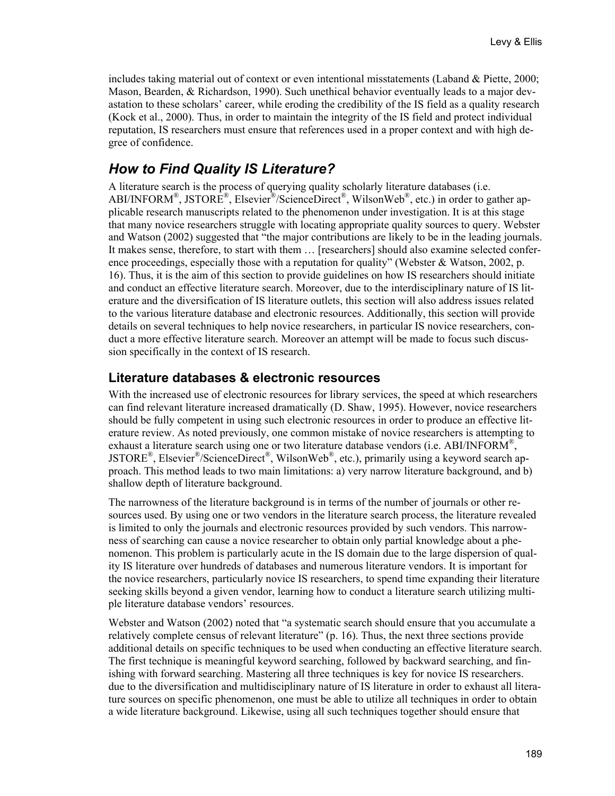includes taking material out of context or even intentional misstatements (Laband & Piette, 2000; Mason, Bearden, & Richardson, 1990). Such unethical behavior eventually leads to a major devastation to these scholars' career, while eroding the credibility of the IS field as a quality research (Kock et al., 2000). Thus, in order to maintain the integrity of the IS field and protect individual reputation, IS researchers must ensure that references used in a proper context and with high degree of confidence.

## *How to Find Quality IS Literature?*

A literature search is the process of querying quality scholarly literature databases (i.e. ABI/INFORM®, JSTORE®, Elsevier®/ScienceDirect®, WilsonWeb®, etc.) in order to gather applicable research manuscripts related to the phenomenon under investigation. It is at this stage that many novice researchers struggle with locating appropriate quality sources to query. Webster and Watson (2002) suggested that "the major contributions are likely to be in the leading journals. It makes sense, therefore, to start with them … [researchers] should also examine selected conference proceedings, especially those with a reputation for quality" (Webster & Watson, 2002, p. 16). Thus, it is the aim of this section to provide guidelines on how IS researchers should initiate and conduct an effective literature search. Moreover, due to the interdisciplinary nature of IS literature and the diversification of IS literature outlets, this section will also address issues related to the various literature database and electronic resources. Additionally, this section will provide details on several techniques to help novice researchers, in particular IS novice researchers, conduct a more effective literature search. Moreover an attempt will be made to focus such discussion specifically in the context of IS research.

### **Literature databases & electronic resources**

With the increased use of electronic resources for library services, the speed at which researchers can find relevant literature increased dramatically (D. Shaw, 1995). However, novice researchers should be fully competent in using such electronic resources in order to produce an effective literature review. As noted previously, one common mistake of novice researchers is attempting to exhaust a literature search using one or two literature database vendors (i.e. ABI/INFORM<sup>®</sup>, JSTORE<sup>®</sup>, Elsevier<sup>®</sup>/ScienceDirect<sup>®</sup>, WilsonWeb<sup>®</sup>, etc.), primarily using a keyword search approach. This method leads to two main limitations: a) very narrow literature background, and b) shallow depth of literature background.

The narrowness of the literature background is in terms of the number of journals or other resources used. By using one or two vendors in the literature search process, the literature revealed is limited to only the journals and electronic resources provided by such vendors. This narrowness of searching can cause a novice researcher to obtain only partial knowledge about a phenomenon. This problem is particularly acute in the IS domain due to the large dispersion of quality IS literature over hundreds of databases and numerous literature vendors. It is important for the novice researchers, particularly novice IS researchers, to spend time expanding their literature seeking skills beyond a given vendor, learning how to conduct a literature search utilizing multiple literature database vendors' resources.

Webster and Watson (2002) noted that "a systematic search should ensure that you accumulate a relatively complete census of relevant literature" (p. 16). Thus, the next three sections provide additional details on specific techniques to be used when conducting an effective literature search. The first technique is meaningful keyword searching, followed by backward searching, and finishing with forward searching. Mastering all three techniques is key for novice IS researchers. due to the diversification and multidisciplinary nature of IS literature in order to exhaust all literature sources on specific phenomenon, one must be able to utilize all techniques in order to obtain a wide literature background. Likewise, using all such techniques together should ensure that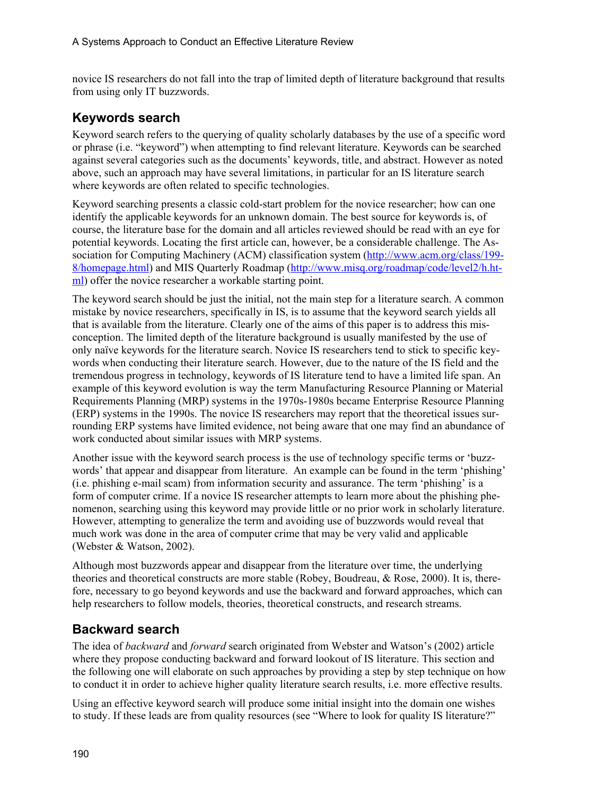novice IS researchers do not fall into the trap of limited depth of literature background that results from using only IT buzzwords.

### **Keywords search**

Keyword search refers to the querying of quality scholarly databases by the use of a specific word or phrase (i.e. "keyword") when attempting to find relevant literature. Keywords can be searched against several categories such as the documents' keywords, title, and abstract. However as noted above, such an approach may have several limitations, in particular for an IS literature search where keywords are often related to specific technologies.

Keyword searching presents a classic cold-start problem for the novice researcher; how can one identify the applicable keywords for an unknown domain. The best source for keywords is, of course, the literature base for the domain and all articles reviewed should be read with an eye for potential keywords. Locating the first article can, however, be a considerable challenge. The Association for Computing Machinery (ACM) classification system [\(http://www.acm.org/class/199-](http://www.acm.org/class/199-8/homepage.html) [8/homepage.html\)](http://www.acm.org/class/199-8/homepage.html) and MIS Quarterly Roadmap [\(http://www.misq.org/roadmap/code/level2/h.ht](http://www.misq.org/roadmap/code/level2/h.ht-ml)[ml\)](http://www.misq.org/roadmap/code/level2/h.ht-ml) offer the novice researcher a workable starting point.

The keyword search should be just the initial, not the main step for a literature search. A common mistake by novice researchers, specifically in IS, is to assume that the keyword search yields all that is available from the literature. Clearly one of the aims of this paper is to address this misconception. The limited depth of the literature background is usually manifested by the use of only naïve keywords for the literature search. Novice IS researchers tend to stick to specific keywords when conducting their literature search. However, due to the nature of the IS field and the tremendous progress in technology, keywords of IS literature tend to have a limited life span. An example of this keyword evolution is way the term Manufacturing Resource Planning or Material Requirements Planning (MRP) systems in the 1970s-1980s became Enterprise Resource Planning (ERP) systems in the 1990s. The novice IS researchers may report that the theoretical issues surrounding ERP systems have limited evidence, not being aware that one may find an abundance of work conducted about similar issues with MRP systems.

Another issue with the keyword search process is the use of technology specific terms or 'buzzwords' that appear and disappear from literature. An example can be found in the term 'phishing' (i.e. phishing e-mail scam) from information security and assurance. The term 'phishing' is a form of computer crime. If a novice IS researcher attempts to learn more about the phishing phenomenon, searching using this keyword may provide little or no prior work in scholarly literature. However, attempting to generalize the term and avoiding use of buzzwords would reveal that much work was done in the area of computer crime that may be very valid and applicable (Webster & Watson, 2002).

Although most buzzwords appear and disappear from the literature over time, the underlying theories and theoretical constructs are more stable (Robey, Boudreau, & Rose, 2000). It is, therefore, necessary to go beyond keywords and use the backward and forward approaches, which can help researchers to follow models, theories, theoretical constructs, and research streams.

## **Backward search**

The idea of *backward* and *forward* search originated from Webster and Watson's (2002) article where they propose conducting backward and forward lookout of IS literature. This section and the following one will elaborate on such approaches by providing a step by step technique on how to conduct it in order to achieve higher quality literature search results, i.e. more effective results.

Using an effective keyword search will produce some initial insight into the domain one wishes to study. If these leads are from quality resources (see "Where to look for quality IS literature?"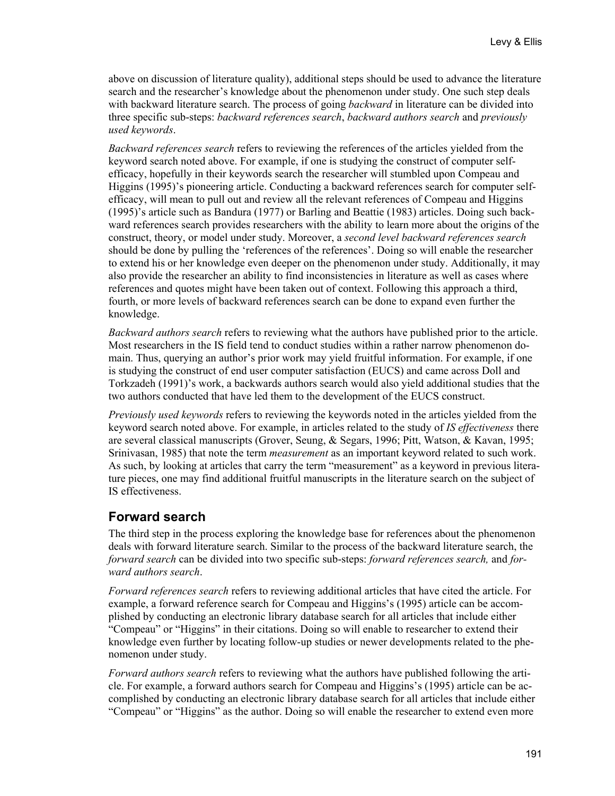above on discussion of literature quality), additional steps should be used to advance the literature search and the researcher's knowledge about the phenomenon under study. One such step deals with backward literature search. The process of going *backward* in literature can be divided into three specific sub-steps: *backward references search*, *backward authors search* and *previously used keywords*.

*Backward references search* refers to reviewing the references of the articles yielded from the keyword search noted above. For example, if one is studying the construct of computer selfefficacy, hopefully in their keywords search the researcher will stumbled upon Compeau and Higgins (1995)'s pioneering article. Conducting a backward references search for computer selfefficacy, will mean to pull out and review all the relevant references of Compeau and Higgins (1995)'s article such as Bandura (1977) or Barling and Beattie (1983) articles. Doing such backward references search provides researchers with the ability to learn more about the origins of the construct, theory, or model under study. Moreover, a *second level backward references search* should be done by pulling the 'references of the references'. Doing so will enable the researcher to extend his or her knowledge even deeper on the phenomenon under study. Additionally, it may also provide the researcher an ability to find inconsistencies in literature as well as cases where references and quotes might have been taken out of context. Following this approach a third, fourth, or more levels of backward references search can be done to expand even further the knowledge.

*Backward authors search* refers to reviewing what the authors have published prior to the article. Most researchers in the IS field tend to conduct studies within a rather narrow phenomenon domain. Thus, querying an author's prior work may yield fruitful information. For example, if one is studying the construct of end user computer satisfaction (EUCS) and came across Doll and Torkzadeh (1991)'s work, a backwards authors search would also yield additional studies that the two authors conducted that have led them to the development of the EUCS construct.

*Previously used keywords* refers to reviewing the keywords noted in the articles yielded from the keyword search noted above. For example, in articles related to the study of *IS effectiveness* there are several classical manuscripts (Grover, Seung, & Segars, 1996; Pitt, Watson, & Kavan, 1995; Srinivasan, 1985) that note the term *measurement* as an important keyword related to such work. As such, by looking at articles that carry the term "measurement" as a keyword in previous literature pieces, one may find additional fruitful manuscripts in the literature search on the subject of IS effectiveness.

### **Forward search**

The third step in the process exploring the knowledge base for references about the phenomenon deals with forward literature search. Similar to the process of the backward literature search, the *forward search* can be divided into two specific sub-steps: *forward references search,* and *forward authors search*.

*Forward references search* refers to reviewing additional articles that have cited the article. For example, a forward reference search for Compeau and Higgins's (1995) article can be accomplished by conducting an electronic library database search for all articles that include either "Compeau" or "Higgins" in their citations. Doing so will enable to researcher to extend their knowledge even further by locating follow-up studies or newer developments related to the phenomenon under study.

*Forward authors search* refers to reviewing what the authors have published following the article. For example, a forward authors search for Compeau and Higgins's (1995) article can be accomplished by conducting an electronic library database search for all articles that include either "Compeau" or "Higgins" as the author. Doing so will enable the researcher to extend even more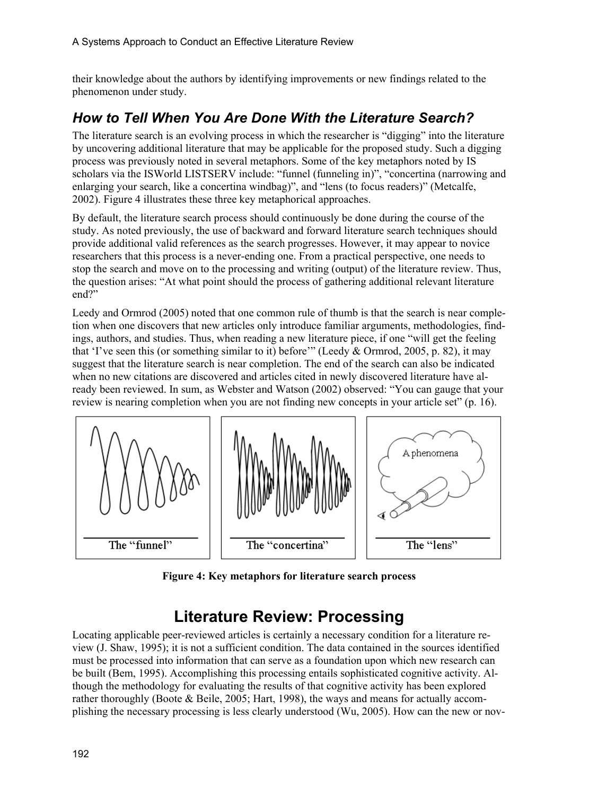their knowledge about the authors by identifying improvements or new findings related to the phenomenon under study.

## *How to Tell When You Are Done With the Literature Search?*

The literature search is an evolving process in which the researcher is "digging" into the literature by uncovering additional literature that may be applicable for the proposed study. Such a digging process was previously noted in several metaphors. Some of the key metaphors noted by IS scholars via the ISWorld LISTSERV include: "funnel (funneling in)", "concertina (narrowing and enlarging your search, like a concertina windbag)", and "lens (to focus readers)" (Metcalfe, 2002). Figure 4 illustrates these three key metaphorical approaches.

By default, the literature search process should continuously be done during the course of the study. As noted previously, the use of backward and forward literature search techniques should provide additional valid references as the search progresses. However, it may appear to novice researchers that this process is a never-ending one. From a practical perspective, one needs to stop the search and move on to the processing and writing (output) of the literature review. Thus, the question arises: "At what point should the process of gathering additional relevant literature end?"

Leedy and Ormrod (2005) noted that one common rule of thumb is that the search is near completion when one discovers that new articles only introduce familiar arguments, methodologies, findings, authors, and studies. Thus, when reading a new literature piece, if one "will get the feeling that 'I've seen this (or something similar to it) before'" (Leedy & Ormrod, 2005, p. 82), it may suggest that the literature search is near completion. The end of the search can also be indicated when no new citations are discovered and articles cited in newly discovered literature have already been reviewed. In sum, as Webster and Watson (2002) observed: "You can gauge that your review is nearing completion when you are not finding new concepts in your article set" (p. 16).



**Figure 4: Key metaphors for literature search process** 

# **Literature Review: Processing**

Locating applicable peer-reviewed articles is certainly a necessary condition for a literature review (J. Shaw, 1995); it is not a sufficient condition. The data contained in the sources identified must be processed into information that can serve as a foundation upon which new research can be built (Bem, 1995). Accomplishing this processing entails sophisticated cognitive activity. Although the methodology for evaluating the results of that cognitive activity has been explored rather thoroughly (Boote & Beile, 2005; Hart, 1998), the ways and means for actually accomplishing the necessary processing is less clearly understood (Wu, 2005). How can the new or nov-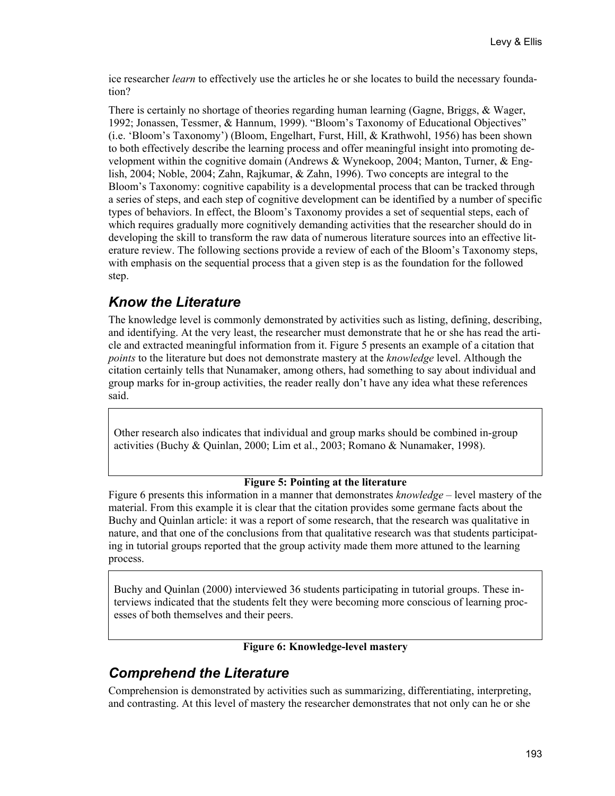ice researcher *learn* to effectively use the articles he or she locates to build the necessary foundation?

There is certainly no shortage of theories regarding human learning (Gagne, Briggs, & Wager, 1992; Jonassen, Tessmer, & Hannum, 1999). "Bloom's Taxonomy of Educational Objectives" (i.e. 'Bloom's Taxonomy') (Bloom, Engelhart, Furst, Hill, & Krathwohl, 1956) has been shown to both effectively describe the learning process and offer meaningful insight into promoting development within the cognitive domain (Andrews & Wynekoop, 2004; Manton, Turner, & English, 2004; Noble, 2004; Zahn, Rajkumar, & Zahn, 1996). Two concepts are integral to the Bloom's Taxonomy: cognitive capability is a developmental process that can be tracked through a series of steps, and each step of cognitive development can be identified by a number of specific types of behaviors. In effect, the Bloom's Taxonomy provides a set of sequential steps, each of which requires gradually more cognitively demanding activities that the researcher should do in developing the skill to transform the raw data of numerous literature sources into an effective literature review. The following sections provide a review of each of the Bloom's Taxonomy steps, with emphasis on the sequential process that a given step is as the foundation for the followed step.

### *Know the Literature*

The knowledge level is commonly demonstrated by activities such as listing, defining, describing, and identifying. At the very least, the researcher must demonstrate that he or she has read the article and extracted meaningful information from it. Figure 5 presents an example of a citation that *points* to the literature but does not demonstrate mastery at the *knowledge* level. Although the citation certainly tells that Nunamaker, among others, had something to say about individual and group marks for in-group activities, the reader really don't have any idea what these references said.

Other research also indicates that individual and group marks should be combined in-group activities (Buchy & Quinlan, 2000; Lim et al., 2003; Romano & Nunamaker, 1998).

#### **Figure 5: Pointing at the literature**

Figure 6 presents this information in a manner that demonstrates *knowledge* – level mastery of the material. From this example it is clear that the citation provides some germane facts about the Buchy and Quinlan article: it was a report of some research, that the research was qualitative in nature, and that one of the conclusions from that qualitative research was that students participating in tutorial groups reported that the group activity made them more attuned to the learning process.

Buchy and Quinlan (2000) interviewed 36 students participating in tutorial groups. These interviews indicated that the students felt they were becoming more conscious of learning processes of both themselves and their peers.

**Figure 6: Knowledge-level mastery** 

## *Comprehend the Literature*

Comprehension is demonstrated by activities such as summarizing, differentiating, interpreting, and contrasting. At this level of mastery the researcher demonstrates that not only can he or she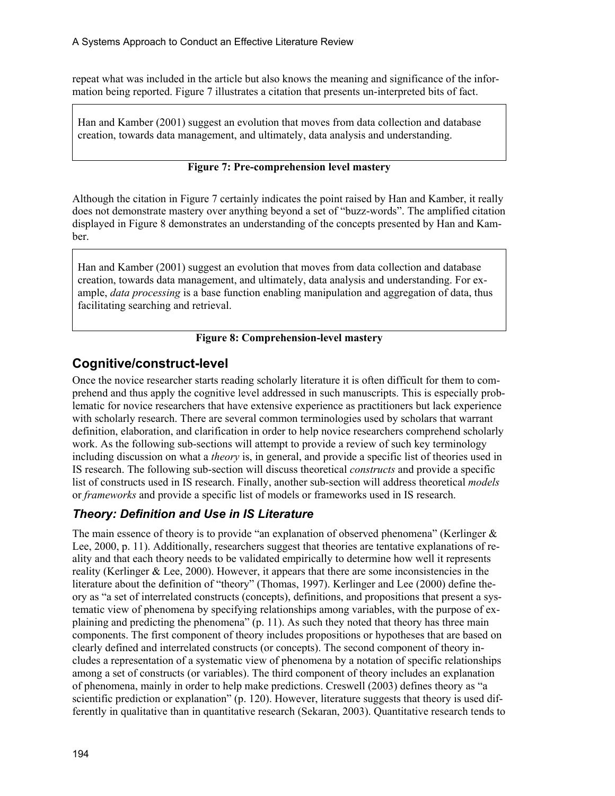repeat what was included in the article but also knows the meaning and significance of the information being reported. Figure 7 illustrates a citation that presents un-interpreted bits of fact.

Han and Kamber (2001) suggest an evolution that moves from data collection and database creation, towards data management, and ultimately, data analysis and understanding.

#### **Figure 7: Pre-comprehension level mastery**

Although the citation in Figure 7 certainly indicates the point raised by Han and Kamber, it really does not demonstrate mastery over anything beyond a set of "buzz-words". The amplified citation displayed in Figure 8 demonstrates an understanding of the concepts presented by Han and Kamber.

Han and Kamber (2001) suggest an evolution that moves from data collection and database creation, towards data management, and ultimately, data analysis and understanding. For example, *data processing* is a base function enabling manipulation and aggregation of data, thus facilitating searching and retrieval.

#### **Figure 8: Comprehension-level mastery**

### **Cognitive/construct-level**

Once the novice researcher starts reading scholarly literature it is often difficult for them to comprehend and thus apply the cognitive level addressed in such manuscripts. This is especially problematic for novice researchers that have extensive experience as practitioners but lack experience with scholarly research. There are several common terminologies used by scholars that warrant definition, elaboration, and clarification in order to help novice researchers comprehend scholarly work. As the following sub-sections will attempt to provide a review of such key terminology including discussion on what a *theory* is, in general, and provide a specific list of theories used in IS research. The following sub-section will discuss theoretical *constructs* and provide a specific list of constructs used in IS research. Finally, another sub-section will address theoretical *models* or *frameworks* and provide a specific list of models or frameworks used in IS research.

### *Theory: Definition and Use in IS Literature*

The main essence of theory is to provide "an explanation of observed phenomena" (Kerlinger  $\&$ Lee, 2000, p. 11). Additionally, researchers suggest that theories are tentative explanations of reality and that each theory needs to be validated empirically to determine how well it represents reality (Kerlinger  $& Lee, 2000$ ). However, it appears that there are some inconsistencies in the literature about the definition of "theory" (Thomas, 1997). Kerlinger and Lee (2000) define theory as "a set of interrelated constructs (concepts), definitions, and propositions that present a systematic view of phenomena by specifying relationships among variables, with the purpose of explaining and predicting the phenomena" (p. 11). As such they noted that theory has three main components. The first component of theory includes propositions or hypotheses that are based on clearly defined and interrelated constructs (or concepts). The second component of theory includes a representation of a systematic view of phenomena by a notation of specific relationships among a set of constructs (or variables). The third component of theory includes an explanation of phenomena, mainly in order to help make predictions. Creswell (2003) defines theory as "a scientific prediction or explanation" (p. 120). However, literature suggests that theory is used differently in qualitative than in quantitative research (Sekaran, 2003). Quantitative research tends to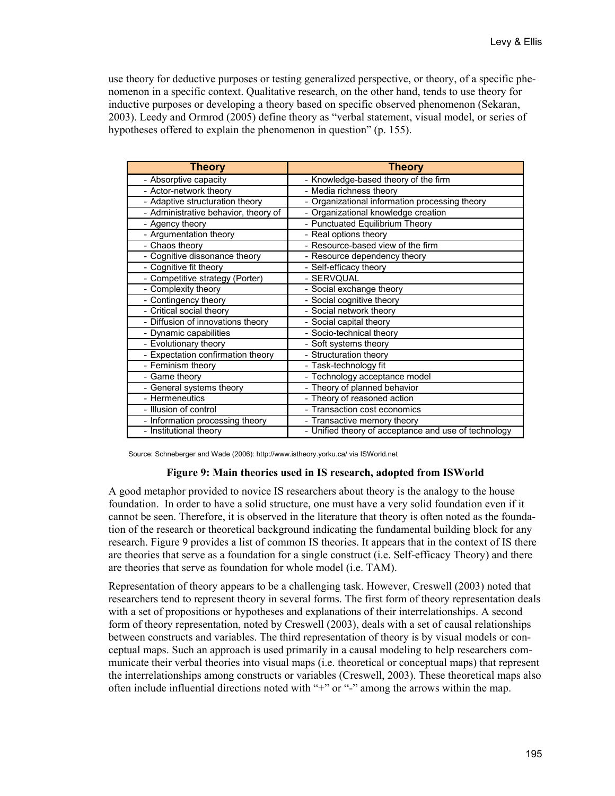use theory for deductive purposes or testing generalized perspective, or theory, of a specific phenomenon in a specific context. Qualitative research, on the other hand, tends to use theory for inductive purposes or developing a theory based on specific observed phenomenon (Sekaran, 2003). Leedy and Ormrod (2005) define theory as "verbal statement, visual model, or series of hypotheses offered to explain the phenomenon in question" (p. 155).

| <b>Theory</b>                        | <b>Theory</b>                                        |
|--------------------------------------|------------------------------------------------------|
| - Absorptive capacity                | - Knowledge-based theory of the firm                 |
| - Actor-network theory               | - Media richness theory                              |
| - Adaptive structuration theory      | - Organizational information processing theory       |
| - Administrative behavior, theory of | - Organizational knowledge creation                  |
| - Agency theory                      | - Punctuated Equilibrium Theory                      |
| - Argumentation theory               | - Real options theory                                |
| - Chaos theory                       | - Resource-based view of the firm                    |
| - Cognitive dissonance theory        | - Resource dependency theory                         |
| - Cognitive fit theory               | - Self-efficacy theory                               |
| - Competitive strategy (Porter)      | - SERVQUAL                                           |
| - Complexity theory                  | - Social exchange theory                             |
| - Contingency theory                 | - Social cognitive theory                            |
| - Critical social theory             | - Social network theory                              |
| - Diffusion of innovations theory    | - Social capital theory                              |
| - Dynamic capabilities               | - Socio-technical theory                             |
| - Evolutionary theory                | - Soft systems theory                                |
| - Expectation confirmation theory    | - Structuration theory                               |
| - Feminism theory                    | - Task-technology fit                                |
| - Game theory                        | - Technology acceptance model                        |
| - General systems theory             | - Theory of planned behavior                         |
| - Hermeneutics                       | - Theory of reasoned action                          |
| - Illusion of control                | - Transaction cost economics                         |
| - Information processing theory      | - Transactive memory theory                          |
| - Institutional theory               | - Unified theory of acceptance and use of technology |

Source: Schneberger and Wade (2006): http://www.istheory.yorku.ca/ via ISWorld.net

#### **Figure 9: Main theories used in IS research, adopted from ISWorld**

A good metaphor provided to novice IS researchers about theory is the analogy to the house foundation. In order to have a solid structure, one must have a very solid foundation even if it cannot be seen. Therefore, it is observed in the literature that theory is often noted as the foundation of the research or theoretical background indicating the fundamental building block for any research. Figure 9 provides a list of common IS theories. It appears that in the context of IS there are theories that serve as a foundation for a single construct (i.e. Self-efficacy Theory) and there are theories that serve as foundation for whole model (i.e. TAM).

Representation of theory appears to be a challenging task. However, Creswell (2003) noted that researchers tend to represent theory in several forms. The first form of theory representation deals with a set of propositions or hypotheses and explanations of their interrelationships. A second form of theory representation, noted by Creswell (2003), deals with a set of causal relationships between constructs and variables. The third representation of theory is by visual models or conceptual maps. Such an approach is used primarily in a causal modeling to help researchers communicate their verbal theories into visual maps (i.e. theoretical or conceptual maps) that represent the interrelationships among constructs or variables (Creswell, 2003). These theoretical maps also often include influential directions noted with "+" or "-" among the arrows within the map.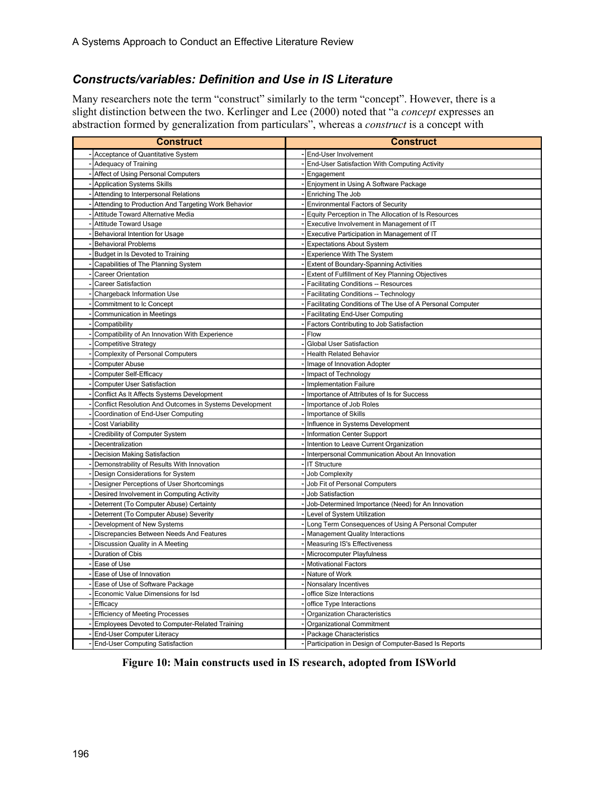### *Constructs/variables: Definition and Use in IS Literature*

Many researchers note the term "construct" similarly to the term "concept". However, there is a slight distinction between the two. Kerlinger and Lee (2000) noted that "a *concept* expresses an abstraction formed by generalization from particulars", whereas a *construct* is a concept with

| Construct                                               | Construct                                                 |  |  |
|---------------------------------------------------------|-----------------------------------------------------------|--|--|
| Acceptance of Quantitative System                       | End-User Involvement                                      |  |  |
| <b>Adequacy of Training</b>                             | End-User Satisfaction With Computing Activity             |  |  |
| Affect of Using Personal Computers                      | Engagement                                                |  |  |
| <b>Application Systems Skills</b>                       | Enjoyment in Using A Software Package                     |  |  |
| Attending to Interpersonal Relations                    | Enriching The Job                                         |  |  |
| Attending to Production And Targeting Work Behavior     | <b>Environmental Factors of Security</b>                  |  |  |
| Attitude Toward Alternative Media                       | Equity Perception in The Allocation of Is Resources       |  |  |
| <b>Attitude Toward Usage</b>                            | Executive Involvement in Management of IT                 |  |  |
| Behavioral Intention for Usage                          | Executive Participation in Management of IT               |  |  |
| <b>Behavioral Problems</b>                              | <b>Expectations About System</b>                          |  |  |
| Budget in Is Devoted to Training                        | Experience With The System                                |  |  |
| Capabilities of The Planning System                     | Extent of Boundary-Spanning Activities                    |  |  |
| Career Orientation                                      | Extent of Fulfillment of Key Planning Objectives          |  |  |
| <b>Career Satisfaction</b>                              | <b>Facilitating Conditions -- Resources</b>               |  |  |
| Chargeback Information Use                              | Facilitating Conditions -- Technology                     |  |  |
| Commitment to Ic Concept                                | Facilitating Conditions of The Use of A Personal Computer |  |  |
| <b>Communication in Meetings</b>                        | <b>Facilitating End-User Computing</b>                    |  |  |
| Compatibility                                           | Factors Contributing to Job Satisfaction                  |  |  |
| Compatibility of An Innovation With Experience          | Flow                                                      |  |  |
| <b>Competitive Strategy</b>                             | <b>Global User Satisfaction</b>                           |  |  |
| <b>Complexity of Personal Computers</b>                 | <b>Health Related Behavior</b>                            |  |  |
| <b>Computer Abuse</b>                                   | Image of Innovation Adopter                               |  |  |
| <b>Computer Self-Efficacy</b>                           | Impact of Technology                                      |  |  |
| <b>Computer User Satisfaction</b>                       | <b>Implementation Failure</b>                             |  |  |
| Conflict As It Affects Systems Development              | Importance of Attributes of Is for Success                |  |  |
| Conflict Resolution And Outcomes in Systems Development | Importance of Job Roles                                   |  |  |
| Coordination of End-User Computing                      | Importance of Skills                                      |  |  |
| <b>Cost Variability</b>                                 | Influence in Systems Development                          |  |  |
| Credibility of Computer System                          | Information Center Support                                |  |  |
| Decentralization                                        | Intention to Leave Current Organization                   |  |  |
| Decision Making Satisfaction                            | Interpersonal Communication About An Innovation           |  |  |
| Demonstrability of Results With Innovation              | <b>IT Structure</b>                                       |  |  |
| Design Considerations for System                        | <b>Job Complexity</b>                                     |  |  |
| Designer Perceptions of User Shortcomings               | Job Fit of Personal Computers                             |  |  |
| Desired Involvement in Computing Activity               | Job Satisfaction                                          |  |  |
| Deterrent (To Computer Abuse) Certainty                 | Job-Determined Importance (Need) for An Innovation        |  |  |
| Deterrent (To Computer Abuse) Severity                  | Level of System Utilization                               |  |  |
| Development of New Systems                              | Long Term Consequences of Using A Personal Computer       |  |  |
| Discrepancies Between Needs And Features                | <b>Management Quality Interactions</b>                    |  |  |
| Discussion Quality in A Meeting                         | Measuring IS's Effectiveness                              |  |  |
| Duration of Cbis                                        | Microcomputer Playfulness                                 |  |  |
| Ease of Use                                             | <b>Motivational Factors</b>                               |  |  |
| Ease of Use of Innovation                               | Nature of Work                                            |  |  |
| Ease of Use of Software Package                         | Nonsalary Incentives                                      |  |  |
| Economic Value Dimensions for Isd                       | office Size Interactions                                  |  |  |
| Efficacy                                                | office Type Interactions                                  |  |  |
| <b>Efficiency of Meeting Processes</b>                  | <b>Organization Characteristics</b>                       |  |  |
| Employees Devoted to Computer-Related Training          | <b>Organizational Commitment</b>                          |  |  |
| End-User Computer Literacy                              | Package Characteristics                                   |  |  |
| <b>End-User Computing Satisfaction</b>                  | Participation in Design of Computer-Based Is Reports      |  |  |

**Figure 10: Main constructs used in IS research, adopted from ISWorld**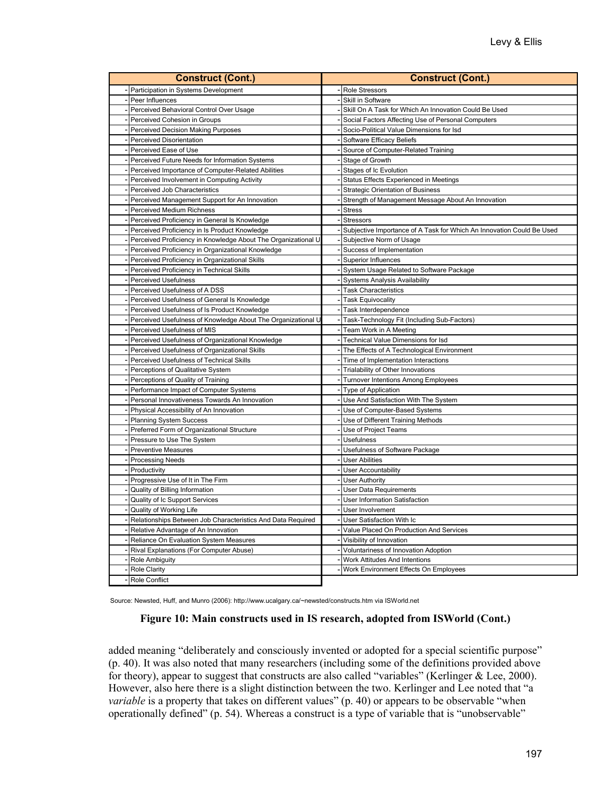| <b>Construct (Cont.)</b>                                      | <b>Construct (Cont.)</b>                                                     |
|---------------------------------------------------------------|------------------------------------------------------------------------------|
| Participation in Systems Development                          | <b>Role Stressors</b>                                                        |
| Peer Influences                                               | Skill in Software                                                            |
| Perceived Behavioral Control Over Usage                       | Skill On A Task for Which An Innovation Could Be Used                        |
| Perceived Cohesion in Groups                                  | Social Factors Affecting Use of Personal Computers                           |
| <b>Perceived Decision Making Purposes</b>                     | Socio-Political Value Dimensions for Isd                                     |
| Perceived Disorientation                                      | Software Efficacy Beliefs                                                    |
| Perceived Ease of Use                                         | Source of Computer-Related Training                                          |
| Perceived Future Needs for Information Systems                | Stage of Growth                                                              |
| Perceived Importance of Computer-Related Abilities            | Stages of Ic Evolution                                                       |
| Perceived Involvement in Computing Activity                   | Status Effects Experienced in Meetings                                       |
| Perceived Job Characteristics                                 | <b>Strategic Orientation of Business</b>                                     |
| Perceived Management Support for An Innovation                | Strength of Management Message About An Innovation                           |
| Perceived Medium Richness                                     | <b>Stress</b>                                                                |
| Perceived Proficiency in General Is Knowledge                 | <b>Stressors</b>                                                             |
| Perceived Proficiency in Is Product Knowledge                 | Subjective Importance of A Task for Which An Innovation Could Be Used        |
| Perceived Proficiency in Knowledge About The Organizational U | Subjective Norm of Usage                                                     |
| Perceived Proficiency in Organizational Knowledge             | Success of Implementation                                                    |
| Perceived Proficiency in Organizational Skills                | <b>Superior Influences</b>                                                   |
| Perceived Proficiency in Technical Skills                     | System Usage Related to Software Package                                     |
| <b>Perceived Usefulness</b>                                   | <b>Systems Analysis Availability</b>                                         |
| Perceived Usefulness of A DSS                                 | <b>Task Characteristics</b>                                                  |
| Perceived Usefulness of General Is Knowledge                  | <b>Task Equivocality</b>                                                     |
| Perceived Usefulness of Is Product Knowledge                  | Task Interdependence                                                         |
| Perceived Usefulness of Knowledge About The Organizational L  | Task-Technology Fit (Including Sub-Factors)                                  |
| Perceived Usefulness of MIS                                   | Team Work in A Meeting                                                       |
| Perceived Usefulness of Organizational Knowledge              | Technical Value Dimensions for Isd                                           |
| Perceived Usefulness of Organizational Skills                 | The Effects of A Technological Environment                                   |
| Perceived Usefulness of Technical Skills                      | Time of Implementation Interactions                                          |
| Perceptions of Qualitative System                             | Trialability of Other Innovations                                            |
| Perceptions of Quality of Training                            | <b>Turnover Intentions Among Employees</b>                                   |
| Performance Impact of Computer Systems                        | <b>Type of Application</b>                                                   |
| Personal Innovativeness Towards An Innovation                 | Use And Satisfaction With The System                                         |
| Physical Accessibility of An Innovation                       | Use of Computer-Based Systems                                                |
| <b>Planning System Success</b>                                | Use of Different Training Methods                                            |
| Preferred Form of Organizational Structure                    | Use of Project Teams                                                         |
| Pressure to Use The System                                    | <b>Usefulness</b>                                                            |
| <b>Preventive Measures</b>                                    | Usefulness of Software Package                                               |
| <b>Processing Needs</b>                                       | <b>User Abilities</b>                                                        |
| Productivity                                                  | <b>User Accountability</b>                                                   |
| Progressive Use of It in The Firm                             | <b>User Authority</b>                                                        |
| Quality of Billing Information                                | <b>User Data Requirements</b>                                                |
| Quality of Ic Support Services                                | <b>User Information Satisfaction</b>                                         |
| Quality of Working Life                                       | User Involvement<br><b>User Satisfaction With Ic</b>                         |
| Relationships Between Job Characteristics And Data Required   |                                                                              |
| Relative Advantage of An Innovation                           | Value Placed On Production And Services                                      |
| Reliance On Evaluation System Measures                        | Visibility of Innovation                                                     |
| Rival Explanations (For Computer Abuse)<br>Role Ambiguity     | Voluntariness of Innovation Adoption<br><b>Work Attitudes And Intentions</b> |
| <b>Role Clarity</b>                                           | Work Environment Effects On Employees                                        |
| <b>Role Conflict</b>                                          |                                                                              |

Source: Newsted, Huff, and Munro (2006): http://www.ucalgary.ca/~newsted/constructs.htm via ISWorld.net

#### **Figure 10: Main constructs used in IS research, adopted from ISWorld (Cont.)**

added meaning "deliberately and consciously invented or adopted for a special scientific purpose" (p. 40). It was also noted that many researchers (including some of the definitions provided above for theory), appear to suggest that constructs are also called "variables" (Kerlinger & Lee, 2000). However, also here there is a slight distinction between the two. Kerlinger and Lee noted that "a *variable* is a property that takes on different values" (p. 40) or appears to be observable "when operationally defined" (p. 54). Whereas a construct is a type of variable that is "unobservable"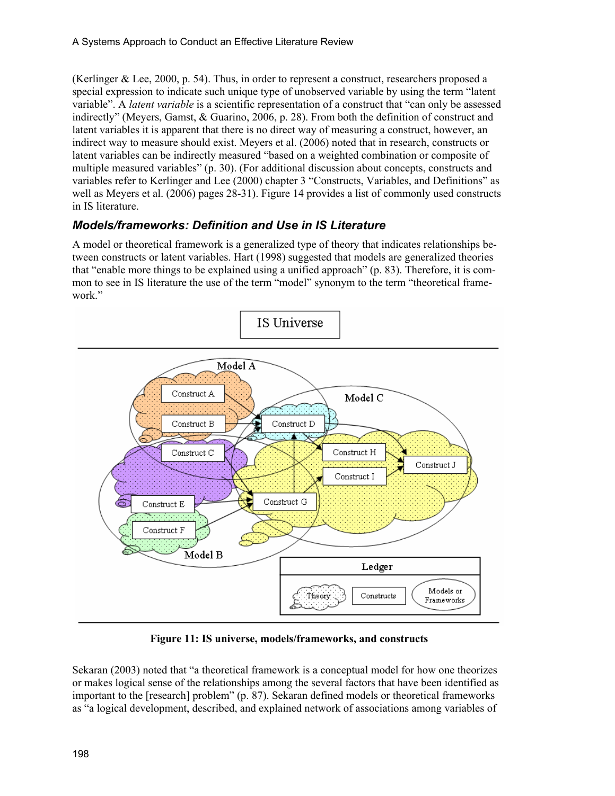(Kerlinger & Lee, 2000, p. 54). Thus, in order to represent a construct, researchers proposed a special expression to indicate such unique type of unobserved variable by using the term "latent variable". A *latent variable* is a scientific representation of a construct that "can only be assessed indirectly" (Meyers, Gamst, & Guarino, 2006, p. 28). From both the definition of construct and latent variables it is apparent that there is no direct way of measuring a construct, however, an indirect way to measure should exist. Meyers et al. (2006) noted that in research, constructs or latent variables can be indirectly measured "based on a weighted combination or composite of multiple measured variables" (p. 30). (For additional discussion about concepts, constructs and variables refer to Kerlinger and Lee (2000) chapter 3 "Constructs, Variables, and Definitions" as well as Meyers et al. (2006) pages 28-31). Figure 14 provides a list of commonly used constructs in IS literature.

### *Models/frameworks: Definition and Use in IS Literature*

A model or theoretical framework is a generalized type of theory that indicates relationships between constructs or latent variables. Hart (1998) suggested that models are generalized theories that "enable more things to be explained using a unified approach" (p. 83). Therefore, it is common to see in IS literature the use of the term "model" synonym to the term "theoretical framework."



**Figure 11: IS universe, models/frameworks, and constructs** 

Sekaran (2003) noted that "a theoretical framework is a conceptual model for how one theorizes or makes logical sense of the relationships among the several factors that have been identified as important to the [research] problem" (p. 87). Sekaran defined models or theoretical frameworks as "a logical development, described, and explained network of associations among variables of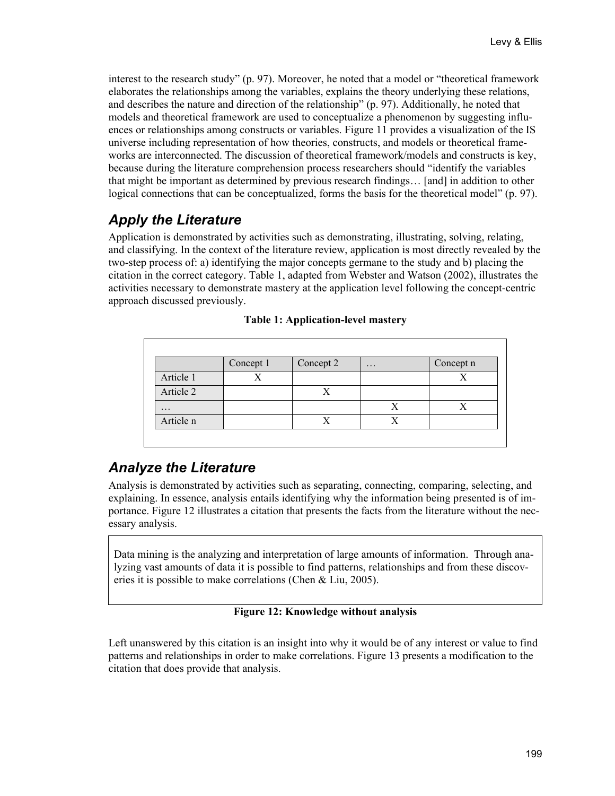interest to the research study" (p. 97). Moreover, he noted that a model or "theoretical framework elaborates the relationships among the variables, explains the theory underlying these relations, and describes the nature and direction of the relationship" (p. 97). Additionally, he noted that models and theoretical framework are used to conceptualize a phenomenon by suggesting influences or relationships among constructs or variables. Figure 11 provides a visualization of the IS universe including representation of how theories, constructs, and models or theoretical frameworks are interconnected. The discussion of theoretical framework/models and constructs is key, because during the literature comprehension process researchers should "identify the variables that might be important as determined by previous research findings… [and] in addition to other logical connections that can be conceptualized, forms the basis for the theoretical model" (p. 97).

## *Apply the Literature*

Application is demonstrated by activities such as demonstrating, illustrating, solving, relating, and classifying. In the context of the literature review, application is most directly revealed by the two-step process of: a) identifying the major concepts germane to the study and b) placing the citation in the correct category. Table 1, adapted from Webster and Watson (2002), illustrates the activities necessary to demonstrate mastery at the application level following the concept-centric approach discussed previously.

|           | Concept 1 | Concept 2 | $\cdots$ | Concept n |
|-----------|-----------|-----------|----------|-----------|
| Article 1 |           |           |          |           |
| Article 2 |           | X         |          |           |
| $\ddots$  |           |           | X        |           |
| Article n |           | X         | X        |           |

|  |  |  | <b>Table 1: Application-level mastery</b> |
|--|--|--|-------------------------------------------|
|  |  |  |                                           |

## *Analyze the Literature*

Analysis is demonstrated by activities such as separating, connecting, comparing, selecting, and explaining. In essence, analysis entails identifying why the information being presented is of importance. Figure 12 illustrates a citation that presents the facts from the literature without the necessary analysis.

Data mining is the analyzing and interpretation of large amounts of information. Through analyzing vast amounts of data it is possible to find patterns, relationships and from these discoveries it is possible to make correlations (Chen & Liu, 2005).

#### **Figure 12: Knowledge without analysis**

Left unanswered by this citation is an insight into why it would be of any interest or value to find patterns and relationships in order to make correlations. Figure 13 presents a modification to the citation that does provide that analysis.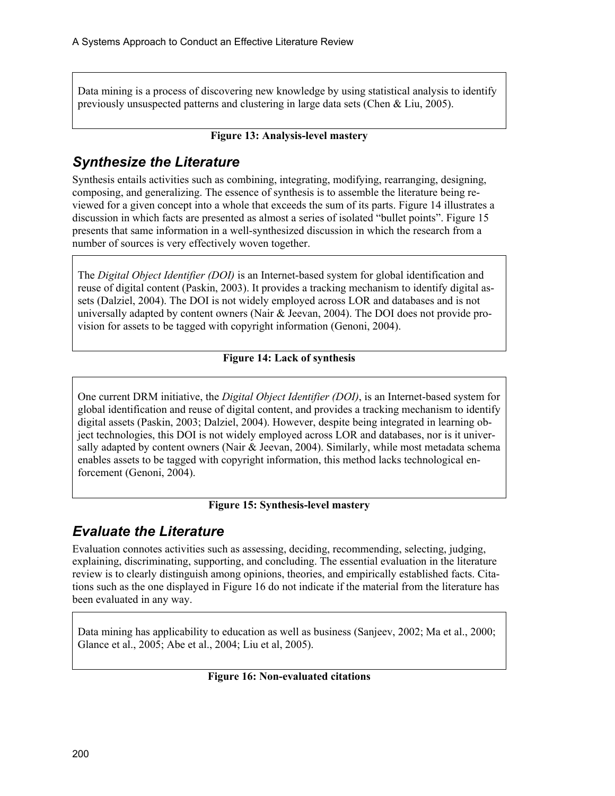Data mining is a process of discovering new knowledge by using statistical analysis to identify previously unsuspected patterns and clustering in large data sets (Chen & Liu, 2005).

#### **Figure 13: Analysis-level mastery**

## *Synthesize the Literature*

Synthesis entails activities such as combining, integrating, modifying, rearranging, designing, composing, and generalizing. The essence of synthesis is to assemble the literature being reviewed for a given concept into a whole that exceeds the sum of its parts. Figure 14 illustrates a discussion in which facts are presented as almost a series of isolated "bullet points". Figure 15 presents that same information in a well-synthesized discussion in which the research from a number of sources is very effectively woven together.

The *Digital Object Identifier (DOI)* is an Internet-based system for global identification and reuse of digital content (Paskin, 2003). It provides a tracking mechanism to identify digital assets (Dalziel, 2004). The DOI is not widely employed across LOR and databases and is not universally adapted by content owners (Nair & Jeevan, 2004). The DOI does not provide provision for assets to be tagged with copyright information (Genoni, 2004).

#### **Figure 14: Lack of synthesis**

One current DRM initiative, the *Digital Object Identifier (DOI)*, is an Internet-based system for global identification and reuse of digital content, and provides a tracking mechanism to identify digital assets (Paskin, 2003; Dalziel, 2004). However, despite being integrated in learning object technologies, this DOI is not widely employed across LOR and databases, nor is it universally adapted by content owners (Nair  $&$  Jeevan, 2004). Similarly, while most metadata schema enables assets to be tagged with copyright information, this method lacks technological enforcement (Genoni, 2004).

#### **Figure 15: Synthesis-level mastery**

## *Evaluate the Literature*

Evaluation connotes activities such as assessing, deciding, recommending, selecting, judging, explaining, discriminating, supporting, and concluding. The essential evaluation in the literature review is to clearly distinguish among opinions, theories, and empirically established facts. Citations such as the one displayed in Figure 16 do not indicate if the material from the literature has been evaluated in any way.

Data mining has applicability to education as well as business (Sanjeev, 2002; Ma et al., 2000; Glance et al., 2005; Abe et al., 2004; Liu et al, 2005).

#### **Figure 16: Non-evaluated citations**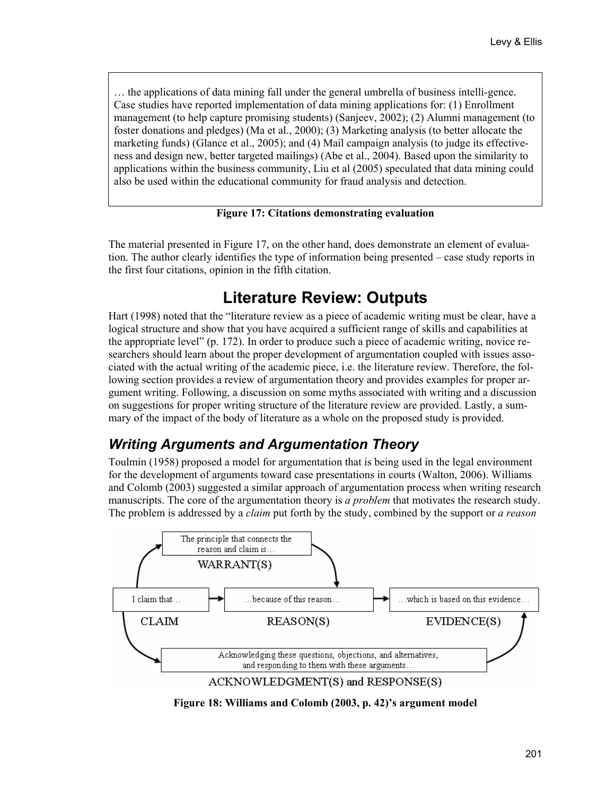… the applications of data mining fall under the general umbrella of business intelli-gence. Case studies have reported implementation of data mining applications for: (1) Enrollment management (to help capture promising students) (Sanjeev, 2002); (2) Alumni management (to foster donations and pledges) (Ma et al., 2000); (3) Marketing analysis (to better allocate the marketing funds) (Glance et al., 2005); and (4) Mail campaign analysis (to judge its effectiveness and design new, better targeted mailings) (Abe et al., 2004). Based upon the similarity to applications within the business community, Liu et al (2005) speculated that data mining could also be used within the educational community for fraud analysis and detection.

#### **Figure 17: Citations demonstrating evaluation**

The material presented in Figure 17, on the other hand, does demonstrate an element of evaluation. The author clearly identifies the type of information being presented – case study reports in the first four citations, opinion in the fifth citation.

# **Literature Review: Outputs**

Hart (1998) noted that the "literature review as a piece of academic writing must be clear, have a logical structure and show that you have acquired a sufficient range of skills and capabilities at the appropriate level" (p. 172). In order to produce such a piece of academic writing, novice researchers should learn about the proper development of argumentation coupled with issues associated with the actual writing of the academic piece, i.e. the literature review. Therefore, the following section provides a review of argumentation theory and provides examples for proper argument writing. Following, a discussion on some myths associated with writing and a discussion on suggestions for proper writing structure of the literature review are provided. Lastly, a summary of the impact of the body of literature as a whole on the proposed study is provided.

## *Writing Arguments and Argumentation Theory*

Toulmin (1958) proposed a model for argumentation that is being used in the legal environment for the development of arguments toward case presentations in courts (Walton, 2006). Williams and Colomb (2003) suggested a similar approach of argumentation process when writing research manuscripts. The core of the argumentation theory is *a problem* that motivates the research study. The problem is addressed by a *claim* put forth by the study, combined by the support or *a reason*



**Figure 18: Williams and Colomb (2003, p. 42)'s argument model**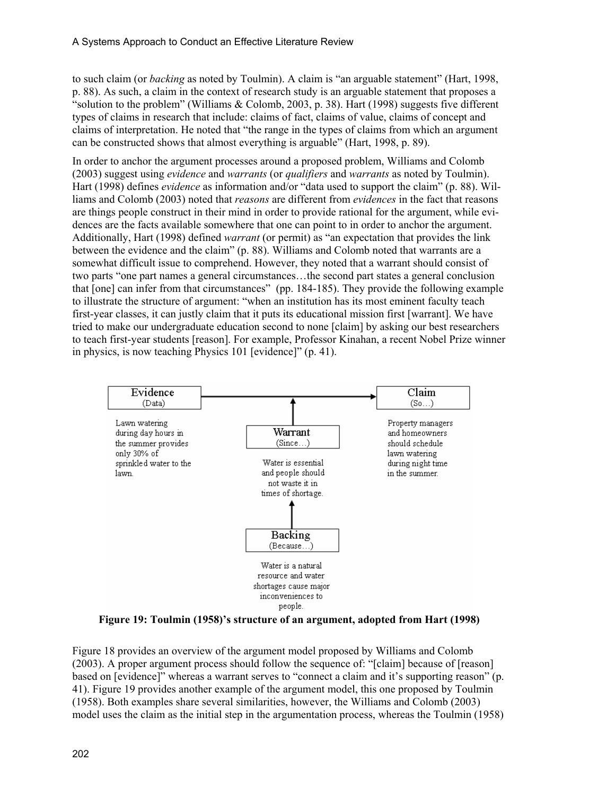to such claim (or *backing* as noted by Toulmin). A claim is "an arguable statement" (Hart, 1998, p. 88). As such, a claim in the context of research study is an arguable statement that proposes a "solution to the problem" (Williams & Colomb, 2003, p. 38). Hart (1998) suggests five different types of claims in research that include: claims of fact, claims of value, claims of concept and claims of interpretation. He noted that "the range in the types of claims from which an argument can be constructed shows that almost everything is arguable" (Hart, 1998, p. 89).

In order to anchor the argument processes around a proposed problem, Williams and Colomb (2003) suggest using *evidence* and *warrants* (or *qualifiers* and *warrants* as noted by Toulmin). Hart (1998) defines *evidence* as information and/or "data used to support the claim" (p. 88). Williams and Colomb (2003) noted that *reasons* are different from *evidences* in the fact that reasons are things people construct in their mind in order to provide rational for the argument, while evidences are the facts available somewhere that one can point to in order to anchor the argument. Additionally, Hart (1998) defined *warrant* (or permit) as "an expectation that provides the link between the evidence and the claim" (p. 88). Williams and Colomb noted that warrants are a somewhat difficult issue to comprehend. However, they noted that a warrant should consist of two parts "one part names a general circumstances…the second part states a general conclusion that [one] can infer from that circumstances" (pp. 184-185). They provide the following example to illustrate the structure of argument: "when an institution has its most eminent faculty teach first-year classes, it can justly claim that it puts its educational mission first [warrant]. We have tried to make our undergraduate education second to none [claim] by asking our best researchers to teach first-year students [reason]. For example, Professor Kinahan, a recent Nobel Prize winner in physics, is now teaching Physics 101 [evidence]" (p. 41).



**Figure 19: Toulmin (1958)'s structure of an argument, adopted from Hart (1998)** 

Figure 18 provides an overview of the argument model proposed by Williams and Colomb (2003). A proper argument process should follow the sequence of: "[claim] because of [reason] based on [evidence]" whereas a warrant serves to "connect a claim and it's supporting reason" (p. 41). Figure 19 provides another example of the argument model, this one proposed by Toulmin (1958). Both examples share several similarities, however, the Williams and Colomb (2003) model uses the claim as the initial step in the argumentation process, whereas the Toulmin (1958)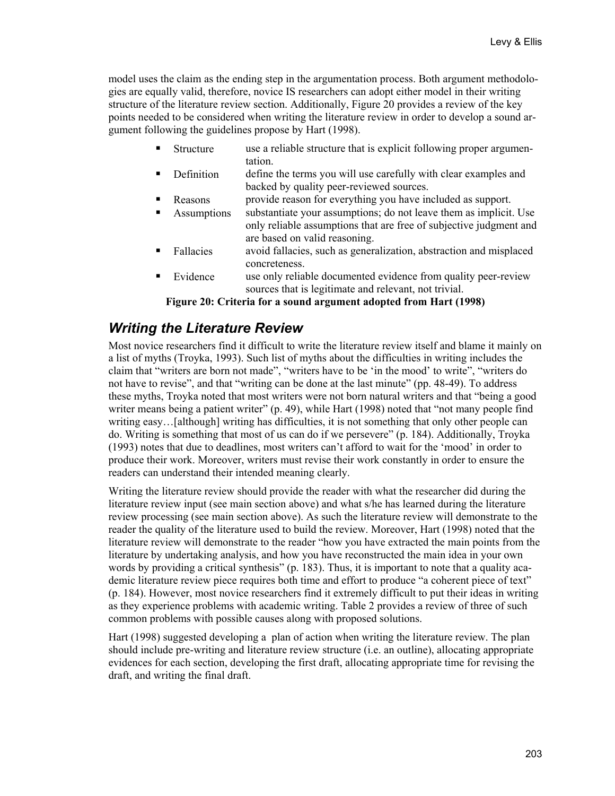model uses the claim as the ending step in the argumentation process. Both argument methodologies are equally valid, therefore, novice IS researchers can adopt either model in their writing structure of the literature review section. Additionally, Figure 20 provides a review of the key points needed to be considered when writing the literature review in order to develop a sound argument following the guidelines propose by Hart (1998).

- Structure use a reliable structure that is explicit following proper argumentation.
- Definition define the terms you will use carefully with clear examples and backed by quality peer-reviewed sources.
- Reasons provide reason for everything you have included as support.
- **Assumptions** substantiate your assumptions; do not leave them as implicit. Use only reliable assumptions that are free of subjective judgment and are based on valid reasoning.
- Fallacies avoid fallacies, such as generalization, abstraction and misplaced concreteness.
- Evidence use only reliable documented evidence from quality peer-review sources that is legitimate and relevant, not trivial.

**Figure 20: Criteria for a sound argument adopted from Hart (1998)** 

## *Writing the Literature Review*

Most novice researchers find it difficult to write the literature review itself and blame it mainly on a list of myths (Troyka, 1993). Such list of myths about the difficulties in writing includes the claim that "writers are born not made", "writers have to be 'in the mood' to write", "writers do not have to revise", and that "writing can be done at the last minute" (pp. 48-49). To address these myths, Troyka noted that most writers were not born natural writers and that "being a good writer means being a patient writer" (p. 49), while Hart (1998) noted that "not many people find writing easy…[although] writing has difficulties, it is not something that only other people can do. Writing is something that most of us can do if we persevere" (p. 184). Additionally, Troyka (1993) notes that due to deadlines, most writers can't afford to wait for the 'mood' in order to produce their work. Moreover, writers must revise their work constantly in order to ensure the readers can understand their intended meaning clearly.

Writing the literature review should provide the reader with what the researcher did during the literature review input (see main section above) and what s/he has learned during the literature review processing (see main section above). As such the literature review will demonstrate to the reader the quality of the literature used to build the review. Moreover, Hart (1998) noted that the literature review will demonstrate to the reader "how you have extracted the main points from the literature by undertaking analysis, and how you have reconstructed the main idea in your own words by providing a critical synthesis" (p. 183). Thus, it is important to note that a quality academic literature review piece requires both time and effort to produce "a coherent piece of text" (p. 184). However, most novice researchers find it extremely difficult to put their ideas in writing as they experience problems with academic writing. Table 2 provides a review of three of such common problems with possible causes along with proposed solutions.

Hart (1998) suggested developing a plan of action when writing the literature review. The plan should include pre-writing and literature review structure (i.e. an outline), allocating appropriate evidences for each section, developing the first draft, allocating appropriate time for revising the draft, and writing the final draft.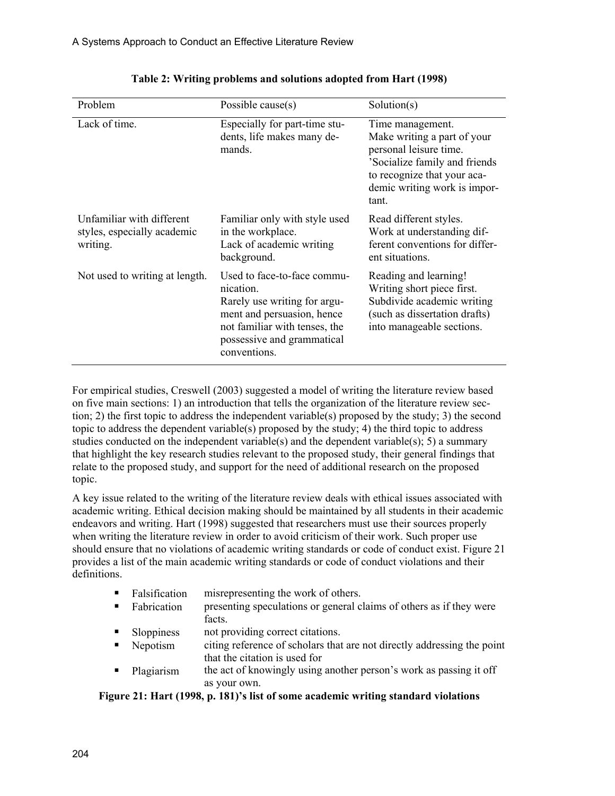| Problem                                                              | Possible cause $(s)$                                                                                                                                                                  | Solution(s)                                                                                                                                                                        |
|----------------------------------------------------------------------|---------------------------------------------------------------------------------------------------------------------------------------------------------------------------------------|------------------------------------------------------------------------------------------------------------------------------------------------------------------------------------|
| Lack of time.                                                        | Especially for part-time stu-<br>dents, life makes many de-<br>mands.                                                                                                                 | Time management.<br>Make writing a part of your<br>personal leisure time.<br>'Socialize family and friends<br>to recognize that your aca-<br>demic writing work is impor-<br>tant. |
| Unfamiliar with different<br>styles, especially academic<br>writing. | Familiar only with style used<br>in the workplace.<br>Lack of academic writing<br>background.                                                                                         | Read different styles.<br>Work at understanding dif-<br>ferent conventions for differ-<br>ent situations.                                                                          |
| Not used to writing at length.                                       | Used to face-to-face commu-<br>nication.<br>Rarely use writing for argu-<br>ment and persuasion, hence<br>not familiar with tenses, the<br>possessive and grammatical<br>conventions. | Reading and learning!<br>Writing short piece first.<br>Subdivide academic writing<br>(such as dissertation drafts)<br>into manageable sections.                                    |

**Table 2: Writing problems and solutions adopted from Hart (1998)** 

For empirical studies, Creswell (2003) suggested a model of writing the literature review based on five main sections: 1) an introduction that tells the organization of the literature review section; 2) the first topic to address the independent variable(s) proposed by the study; 3) the second topic to address the dependent variable(s) proposed by the study; 4) the third topic to address studies conducted on the independent variable(s) and the dependent variable(s); 5) a summary that highlight the key research studies relevant to the proposed study, their general findings that relate to the proposed study, and support for the need of additional research on the proposed topic.

A key issue related to the writing of the literature review deals with ethical issues associated with academic writing. Ethical decision making should be maintained by all students in their academic endeavors and writing. Hart (1998) suggested that researchers must use their sources properly when writing the literature review in order to avoid criticism of their work. Such proper use should ensure that no violations of academic writing standards or code of conduct exist. Figure 21 provides a list of the main academic writing standards or code of conduct violations and their definitions.

- Falsification misrepresenting the work of others.
- Fabrication presenting speculations or general claims of others as if they were facts.
- Sloppiness not providing correct citations.
- Nepotism citing reference of scholars that are not directly addressing the point that the citation is used for
- Plagiarism the act of knowingly using another person's work as passing it off as your own.

**Figure 21: Hart (1998, p. 181)'s list of some academic writing standard violations**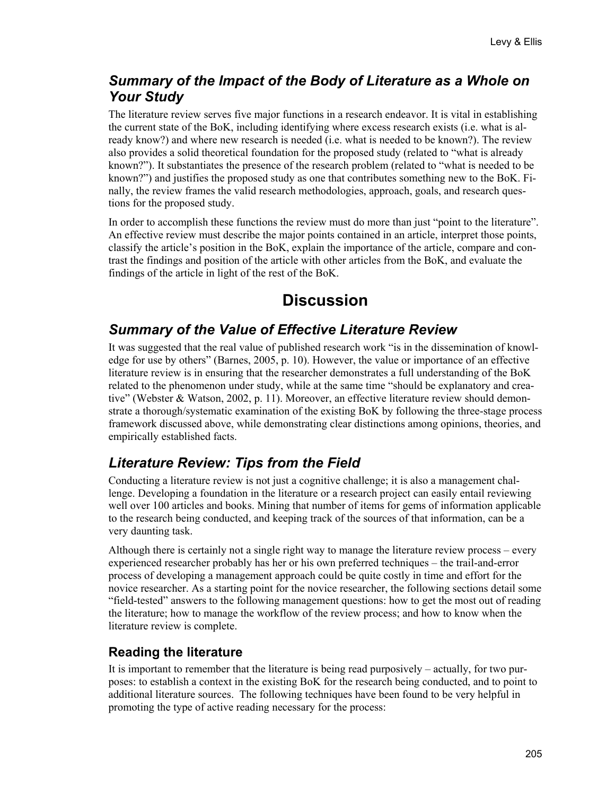## *Summary of the Impact of the Body of Literature as a Whole on Your Study*

The literature review serves five major functions in a research endeavor. It is vital in establishing the current state of the BoK, including identifying where excess research exists (i.e. what is already know?) and where new research is needed (i.e. what is needed to be known?). The review also provides a solid theoretical foundation for the proposed study (related to "what is already known?"). It substantiates the presence of the research problem (related to "what is needed to be known?") and justifies the proposed study as one that contributes something new to the BoK. Finally, the review frames the valid research methodologies, approach, goals, and research questions for the proposed study.

In order to accomplish these functions the review must do more than just "point to the literature". An effective review must describe the major points contained in an article, interpret those points, classify the article's position in the BoK, explain the importance of the article, compare and contrast the findings and position of the article with other articles from the BoK, and evaluate the findings of the article in light of the rest of the BoK.

# **Discussion**

## *Summary of the Value of Effective Literature Review*

It was suggested that the real value of published research work "is in the dissemination of knowledge for use by others" (Barnes, 2005, p. 10). However, the value or importance of an effective literature review is in ensuring that the researcher demonstrates a full understanding of the BoK related to the phenomenon under study, while at the same time "should be explanatory and creative" (Webster & Watson, 2002, p. 11). Moreover, an effective literature review should demonstrate a thorough/systematic examination of the existing BoK by following the three-stage process framework discussed above, while demonstrating clear distinctions among opinions, theories, and empirically established facts.

## *Literature Review: Tips from the Field*

Conducting a literature review is not just a cognitive challenge; it is also a management challenge. Developing a foundation in the literature or a research project can easily entail reviewing well over 100 articles and books. Mining that number of items for gems of information applicable to the research being conducted, and keeping track of the sources of that information, can be a very daunting task.

Although there is certainly not a single right way to manage the literature review process – every experienced researcher probably has her or his own preferred techniques – the trail-and-error process of developing a management approach could be quite costly in time and effort for the novice researcher. As a starting point for the novice researcher, the following sections detail some "field-tested" answers to the following management questions: how to get the most out of reading the literature; how to manage the workflow of the review process; and how to know when the literature review is complete.

## **Reading the literature**

It is important to remember that the literature is being read purposively – actually, for two purposes: to establish a context in the existing BoK for the research being conducted, and to point to additional literature sources. The following techniques have been found to be very helpful in promoting the type of active reading necessary for the process: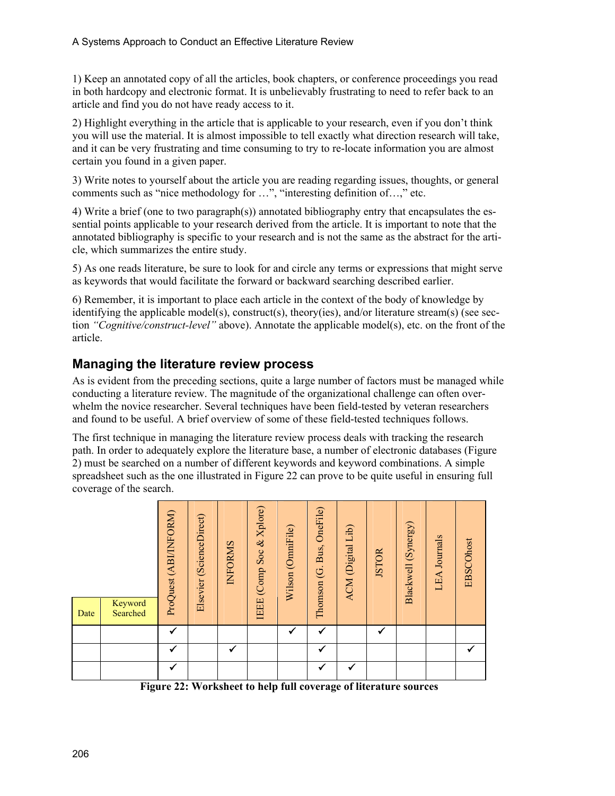1) Keep an annotated copy of all the articles, book chapters, or conference proceedings you read in both hardcopy and electronic format. It is unbelievably frustrating to need to refer back to an article and find you do not have ready access to it.

2) Highlight everything in the article that is applicable to your research, even if you don't think you will use the material. It is almost impossible to tell exactly what direction research will take, and it can be very frustrating and time consuming to try to re-locate information you are almost certain you found in a given paper.

3) Write notes to yourself about the article you are reading regarding issues, thoughts, or general comments such as "nice methodology for …", "interesting definition of…," etc.

4) Write a brief (one to two paragraph(s)) annotated bibliography entry that encapsulates the essential points applicable to your research derived from the article. It is important to note that the annotated bibliography is specific to your research and is not the same as the abstract for the article, which summarizes the entire study.

5) As one reads literature, be sure to look for and circle any terms or expressions that might serve as keywords that would facilitate the forward or backward searching described earlier.

6) Remember, it is important to place each article in the context of the body of knowledge by identifying the applicable model(s), construct(s), theory(ies), and/or literature stream(s) (see section *"Cognitive/construct-level"* above). Annotate the applicable model(s), etc. on the front of the article.

### **Managing the literature review process**

As is evident from the preceding sections, quite a large number of factors must be managed while conducting a literature review. The magnitude of the organizational challenge can often overwhelm the novice researcher. Several techniques have been field-tested by veteran researchers and found to be useful. A brief overview of some of these field-tested techniques follows.

The first technique in managing the literature review process deals with tracking the research path. In order to adequately explore the literature base, a number of electronic databases (Figure 2) must be searched on a number of different keywords and keyword combinations. A simple spreadsheet such as the one illustrated in Figure 22 can prove to be quite useful in ensuring full coverage of the search.

| Date | Keyword<br>Searched | ProQuest (ABI/INFORM) | (ScienceDirect)<br>Elsevier | <b>INFORMS</b> | IEEE (Comp Soc & Xplore) | Wilson (OmniFile) | OneFile)<br>Thomson (G. Bus, | ACM (Digital Lib) | <b>JSTOR</b> | (Synergy)<br>Blackwell | LEA Journals | <b>EBSCOhost</b> |
|------|---------------------|-----------------------|-----------------------------|----------------|--------------------------|-------------------|------------------------------|-------------------|--------------|------------------------|--------------|------------------|
|      |                     | ✓                     |                             |                |                          | ✓                 |                              |                   | ✓            |                        |              |                  |
|      |                     | ✓                     |                             | ✓              |                          |                   | ✔                            |                   |              |                        |              |                  |
|      |                     | ✓                     |                             |                |                          |                   |                              | ✔                 |              |                        |              |                  |

**Figure 22: Worksheet to help full coverage of literature sources**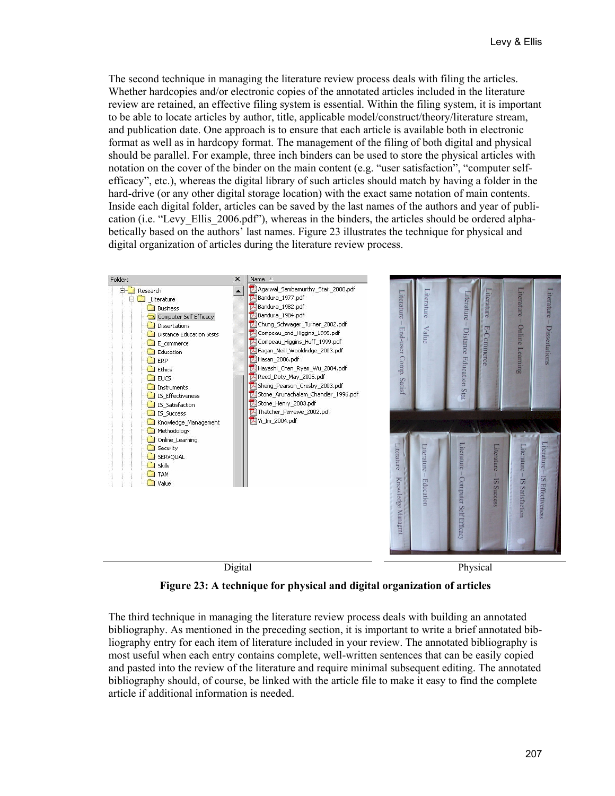The second technique in managing the literature review process deals with filing the articles. Whether hardcopies and/or electronic copies of the annotated articles included in the literature review are retained, an effective filing system is essential. Within the filing system, it is important to be able to locate articles by author, title, applicable model/construct/theory/literature stream, and publication date. One approach is to ensure that each article is available both in electronic format as well as in hardcopy format. The management of the filing of both digital and physical should be parallel. For example, three inch binders can be used to store the physical articles with notation on the cover of the binder on the main content (e.g. "user satisfaction", "computer selfefficacy", etc.), whereas the digital library of such articles should match by having a folder in the hard-drive (or any other digital storage location) with the exact same notation of main contents. Inside each digital folder, articles can be saved by the last names of the authors and year of publication (i.e. "Levy\_Ellis\_2006.pdf"), whereas in the binders, the articles should be ordered alphabetically based on the authors' last names. Figure 23 illustrates the technique for physical and digital organization of articles during the literature review process.



**Figure 23: A technique for physical and digital organization of articles** 

The third technique in managing the literature review process deals with building an annotated bibliography. As mentioned in the preceding section, it is important to write a brief annotated bibliography entry for each item of literature included in your review. The annotated bibliography is most useful when each entry contains complete, well-written sentences that can be easily copied and pasted into the review of the literature and require minimal subsequent editing. The annotated bibliography should, of course, be linked with the article file to make it easy to find the complete article if additional information is needed.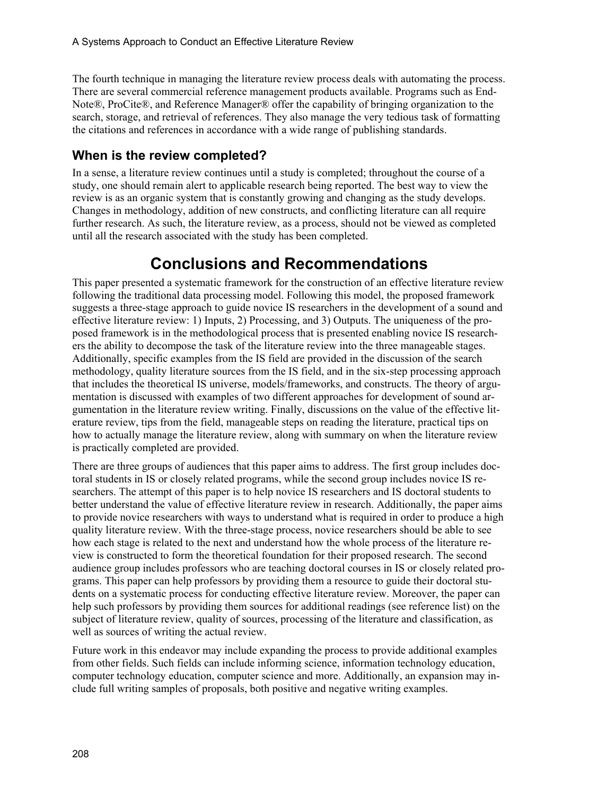The fourth technique in managing the literature review process deals with automating the process. There are several commercial reference management products available. Programs such as End-Note®, ProCite®, and Reference Manager® offer the capability of bringing organization to the search, storage, and retrieval of references. They also manage the very tedious task of formatting the citations and references in accordance with a wide range of publishing standards.

### **When is the review completed?**

In a sense, a literature review continues until a study is completed; throughout the course of a study, one should remain alert to applicable research being reported. The best way to view the review is as an organic system that is constantly growing and changing as the study develops. Changes in methodology, addition of new constructs, and conflicting literature can all require further research. As such, the literature review, as a process, should not be viewed as completed until all the research associated with the study has been completed.

# **Conclusions and Recommendations**

This paper presented a systematic framework for the construction of an effective literature review following the traditional data processing model. Following this model, the proposed framework suggests a three-stage approach to guide novice IS researchers in the development of a sound and effective literature review: 1) Inputs, 2) Processing, and 3) Outputs. The uniqueness of the proposed framework is in the methodological process that is presented enabling novice IS researchers the ability to decompose the task of the literature review into the three manageable stages. Additionally, specific examples from the IS field are provided in the discussion of the search methodology, quality literature sources from the IS field, and in the six-step processing approach that includes the theoretical IS universe, models/frameworks, and constructs. The theory of argumentation is discussed with examples of two different approaches for development of sound argumentation in the literature review writing. Finally, discussions on the value of the effective literature review, tips from the field, manageable steps on reading the literature, practical tips on how to actually manage the literature review, along with summary on when the literature review is practically completed are provided.

There are three groups of audiences that this paper aims to address. The first group includes doctoral students in IS or closely related programs, while the second group includes novice IS researchers. The attempt of this paper is to help novice IS researchers and IS doctoral students to better understand the value of effective literature review in research. Additionally, the paper aims to provide novice researchers with ways to understand what is required in order to produce a high quality literature review. With the three-stage process, novice researchers should be able to see how each stage is related to the next and understand how the whole process of the literature review is constructed to form the theoretical foundation for their proposed research. The second audience group includes professors who are teaching doctoral courses in IS or closely related programs. This paper can help professors by providing them a resource to guide their doctoral students on a systematic process for conducting effective literature review. Moreover, the paper can help such professors by providing them sources for additional readings (see reference list) on the subject of literature review, quality of sources, processing of the literature and classification, as well as sources of writing the actual review.

Future work in this endeavor may include expanding the process to provide additional examples from other fields. Such fields can include informing science, information technology education, computer technology education, computer science and more. Additionally, an expansion may include full writing samples of proposals, both positive and negative writing examples.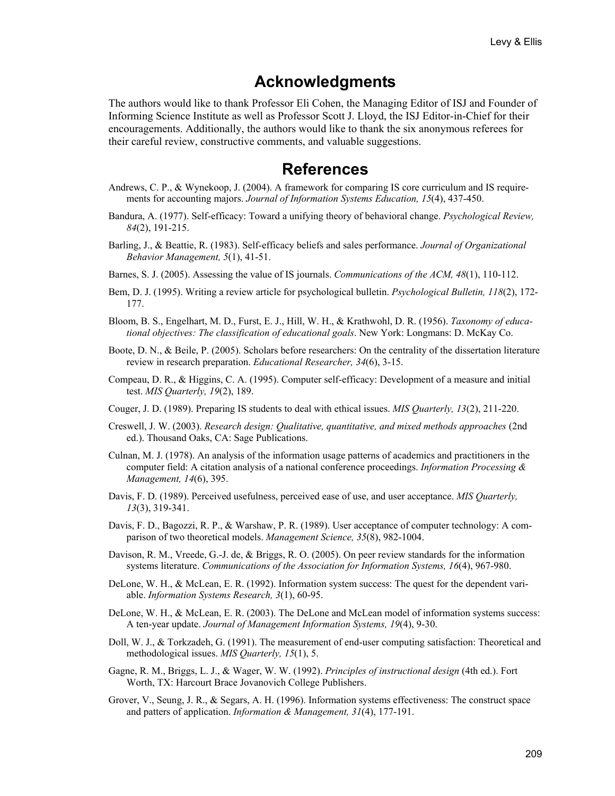## **Acknowledgments**

The authors would like to thank Professor Eli Cohen, the Managing Editor of ISJ and Founder of Informing Science Institute as well as Professor Scott J. Lloyd, the ISJ Editor-in-Chief for their encouragements. Additionally, the authors would like to thank the six anonymous referees for their careful review, constructive comments, and valuable suggestions.

## **References**

- Andrews, C. P., & Wynekoop, J. (2004). A framework for comparing IS core curriculum and IS requirements for accounting majors. *Journal of Information Systems Education, 15*(4), 437-450.
- Bandura, A. (1977). Self-efficacy: Toward a unifying theory of behavioral change. *Psychological Review, 84*(2), 191-215.
- Barling, J., & Beattie, R. (1983). Self-efficacy beliefs and sales performance. *Journal of Organizational Behavior Management, 5*(1), 41-51.
- Barnes, S. J. (2005). Assessing the value of IS journals. *Communications of the ACM, 48*(1), 110-112.
- Bem, D. J. (1995). Writing a review article for psychological bulletin. *Psychological Bulletin, 118*(2), 172- 177.
- Bloom, B. S., Engelhart, M. D., Furst, E. J., Hill, W. H., & Krathwohl, D. R. (1956). *Taxonomy of educational objectives: The classification of educational goals*. New York: Longmans: D. McKay Co.
- Boote, D. N., & Beile, P. (2005). Scholars before researchers: On the centrality of the dissertation literature review in research preparation. *Educational Researcher, 34*(6), 3-15.
- Compeau, D. R., & Higgins, C. A. (1995). Computer self-efficacy: Development of a measure and initial test. *MIS Quarterly, 19*(2), 189.
- Couger, J. D. (1989). Preparing IS students to deal with ethical issues. *MIS Quarterly, 13*(2), 211-220.
- Creswell, J. W. (2003). *Research design: Qualitative, quantitative, and mixed methods approaches* (2nd ed.). Thousand Oaks, CA: Sage Publications.
- Culnan, M. J. (1978). An analysis of the information usage patterns of academics and practitioners in the computer field: A citation analysis of a national conference proceedings. *Information Processing & Management, 14*(6), 395.
- Davis, F. D. (1989). Perceived usefulness, perceived ease of use, and user acceptance. *MIS Quarterly, 13*(3), 319-341.
- Davis, F. D., Bagozzi, R. P., & Warshaw, P. R. (1989). User acceptance of computer technology: A comparison of two theoretical models. *Management Science, 35*(8), 982-1004.
- Davison, R. M., Vreede, G.-J. de, & Briggs, R. O. (2005). On peer review standards for the information systems literature. *Communications of the Association for Information Systems, 16*(4), 967-980.
- DeLone, W. H., & McLean, E. R. (1992). Information system success: The quest for the dependent variable. *Information Systems Research, 3*(1), 60-95.
- DeLone, W. H., & McLean, E. R. (2003). The DeLone and McLean model of information systems success: A ten-year update. *Journal of Management Information Systems, 19*(4), 9-30.
- Doll, W. J., & Torkzadeh, G. (1991). The measurement of end-user computing satisfaction: Theoretical and methodological issues. *MIS Quarterly, 15*(1), 5.
- Gagne, R. M., Briggs, L. J., & Wager, W. W. (1992). *Principles of instructional design* (4th ed.). Fort Worth, TX: Harcourt Brace Jovanovich College Publishers.
- Grover, V., Seung, J. R., & Segars, A. H. (1996). Information systems effectiveness: The construct space and patters of application. *Information & Management, 31*(4), 177-191.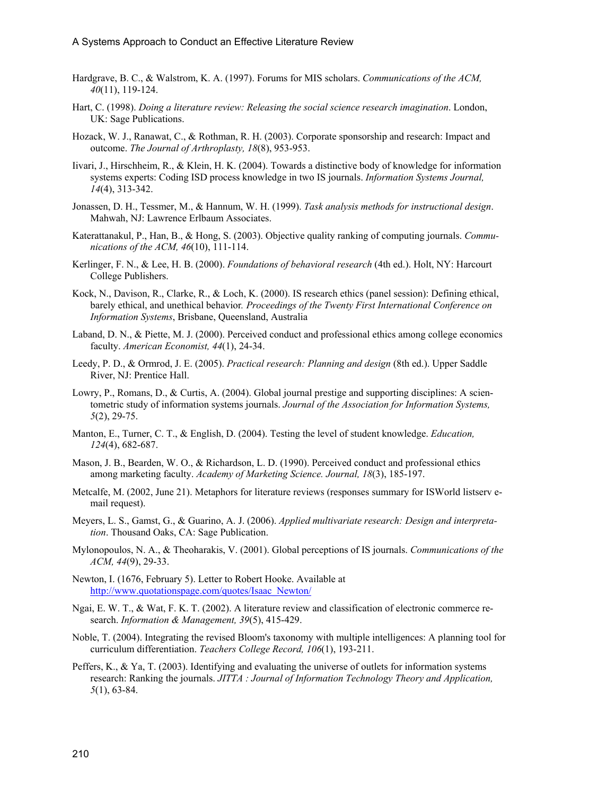- Hardgrave, B. C., & Walstrom, K. A. (1997). Forums for MIS scholars. *Communications of the ACM, 40*(11), 119-124.
- Hart, C. (1998). *Doing a literature review: Releasing the social science research imagination*. London, UK: Sage Publications.
- Hozack, W. J., Ranawat, C., & Rothman, R. H. (2003). Corporate sponsorship and research: Impact and outcome. *The Journal of Arthroplasty, 18*(8), 953-953.
- Iivari, J., Hirschheim, R., & Klein, H. K. (2004). Towards a distinctive body of knowledge for information systems experts: Coding ISD process knowledge in two IS journals. *Information Systems Journal, 14*(4), 313-342.
- Jonassen, D. H., Tessmer, M., & Hannum, W. H. (1999). *Task analysis methods for instructional design*. Mahwah, NJ: Lawrence Erlbaum Associates.
- Katerattanakul, P., Han, B., & Hong, S. (2003). Objective quality ranking of computing journals. *Communications of the ACM, 46*(10), 111-114.
- Kerlinger, F. N., & Lee, H. B. (2000). *Foundations of behavioral research* (4th ed.). Holt, NY: Harcourt College Publishers.
- Kock, N., Davison, R., Clarke, R., & Loch, K. (2000). IS research ethics (panel session): Defining ethical, barely ethical, and unethical behavior*. Proceedings of the Twenty First International Conference on Information Systems*, Brisbane, Queensland, Australia
- Laband, D. N., & Piette, M. J. (2000). Perceived conduct and professional ethics among college economics faculty. *American Economist, 44*(1), 24-34.
- Leedy, P. D., & Ormrod, J. E. (2005). *Practical research: Planning and design* (8th ed.). Upper Saddle River, NJ: Prentice Hall.
- Lowry, P., Romans, D., & Curtis, A. (2004). Global journal prestige and supporting disciplines: A scientometric study of information systems journals. *Journal of the Association for Information Systems, 5*(2), 29-75.
- Manton, E., Turner, C. T., & English, D. (2004). Testing the level of student knowledge. *Education, 124*(4), 682-687.
- Mason, J. B., Bearden, W. O., & Richardson, L. D. (1990). Perceived conduct and professional ethics among marketing faculty. *Academy of Marketing Science. Journal, 18*(3), 185-197.
- Metcalfe, M. (2002, June 21). Metaphors for literature reviews (responses summary for ISWorld listserv email request).
- Meyers, L. S., Gamst, G., & Guarino, A. J. (2006). *Applied multivariate research: Design and interpretation*. Thousand Oaks, CA: Sage Publication.
- Mylonopoulos, N. A., & Theoharakis, V. (2001). Global perceptions of IS journals. *Communications of the ACM, 44*(9), 29-33.
- Newton, I. (1676, February 5). Letter to Robert Hooke. Available at http://www.quotationspage.com/quotes/Isaac\_Newton/
- Ngai, E. W. T., & Wat, F. K. T. (2002). A literature review and classification of electronic commerce research. *Information & Management, 39*(5), 415-429.
- Noble, T. (2004). Integrating the revised Bloom's taxonomy with multiple intelligences: A planning tool for curriculum differentiation. *Teachers College Record, 106*(1), 193-211.
- Peffers, K., & Ya, T. (2003). Identifying and evaluating the universe of outlets for information systems research: Ranking the journals. *JITTA : Journal of Information Technology Theory and Application, 5*(1), 63-84.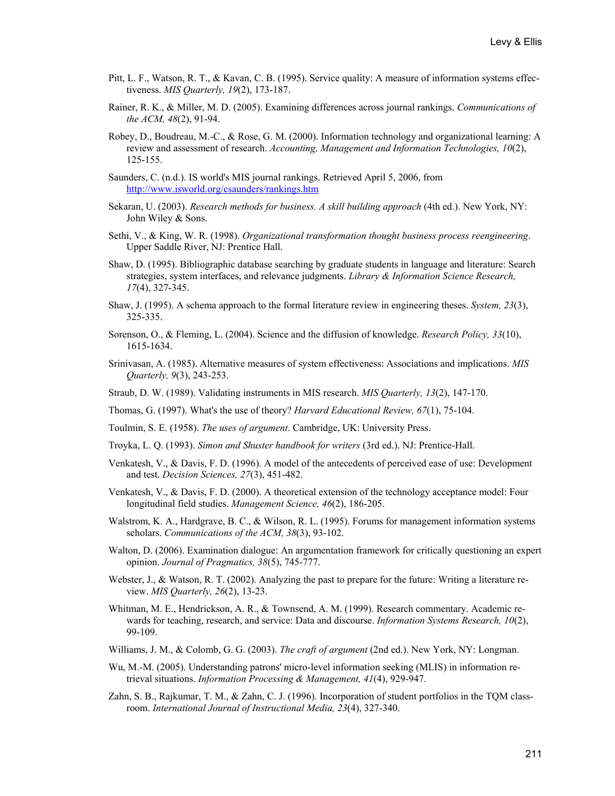- Pitt, L. F., Watson, R. T., & Kavan, C. B. (1995). Service quality: A measure of information systems effectiveness. *MIS Quarterly, 19*(2), 173-187.
- Rainer, R. K., & Miller, M. D. (2005). Examining differences across journal rankings. *Communications of the ACM, 48*(2), 91-94.
- Robey, D., Boudreau, M.-C., & Rose, G. M. (2000). Information technology and organizational learning: A review and assessment of research. *Accounting, Management and Information Technologies, 10*(2), 125-155.
- Saunders, C. (n.d.). IS world's MIS journal rankings. Retrieved April 5, 2006, from <http://www.isworld.org/csaunders/rankings.htm>
- Sekaran, U. (2003). *Research methods for business. A skill building approach* (4th ed.). New York, NY: John Wiley & Sons.
- Sethi, V., & King, W. R. (1998). *Organizational transformation thought business process reengineering*. Upper Saddle River, NJ: Prentice Hall.
- Shaw, D. (1995). Bibliographic database searching by graduate students in language and literature: Search strategies, system interfaces, and relevance judgments. *Library & Information Science Research, 17*(4), 327-345.
- Shaw, J. (1995). A schema approach to the formal literature review in engineering theses. *System, 23*(3), 325-335.
- Sorenson, O., & Fleming, L. (2004). Science and the diffusion of knowledge. *Research Policy, 33*(10), 1615-1634.
- Srinivasan, A. (1985). Alternative measures of system effectiveness: Associations and implications. *MIS Quarterly, 9*(3), 243-253.
- Straub, D. W. (1989). Validating instruments in MIS research. *MIS Quarterly, 13*(2), 147-170.
- Thomas, G. (1997). What's the use of theory? *Harvard Educational Review, 67*(1), 75-104.
- Toulmin, S. E. (1958). *The uses of argument*. Cambridge, UK: University Press.
- Troyka, L. Q. (1993). *Simon and Shuster handbook for writers* (3rd ed.). NJ: Prentice-Hall.
- Venkatesh, V., & Davis, F. D. (1996). A model of the antecedents of perceived ease of use: Development and test. *Decision Sciences, 27*(3), 451-482.
- Venkatesh, V., & Davis, F. D. (2000). A theoretical extension of the technology acceptance model: Four longitudinal field studies. *Management Science, 46*(2), 186-205.
- Walstrom, K. A., Hardgrave, B. C., & Wilson, R. L. (1995). Forums for management information systems scholars. *Communications of the ACM, 38*(3), 93-102.
- Walton, D. (2006). Examination dialogue: An argumentation framework for critically questioning an expert opinion. *Journal of Pragmatics, 38*(5), 745-777.
- Webster, J., & Watson, R. T. (2002). Analyzing the past to prepare for the future: Writing a literature review. *MIS Quarterly, 26*(2), 13-23.
- Whitman, M. E., Hendrickson, A. R., & Townsend, A. M. (1999). Research commentary. Academic rewards for teaching, research, and service: Data and discourse. *Information Systems Research, 10*(2), 99-109.
- Williams, J. M., & Colomb, G. G. (2003). *The craft of argument* (2nd ed.). New York, NY: Longman.
- Wu, M.-M. (2005). Understanding patrons' micro-level information seeking (MLIS) in information retrieval situations. *Information Processing & Management, 41*(4), 929-947.
- Zahn, S. B., Rajkumar, T. M., & Zahn, C. J. (1996). Incorporation of student portfolios in the TQM classroom. *International Journal of Instructional Media, 23*(4), 327-340.